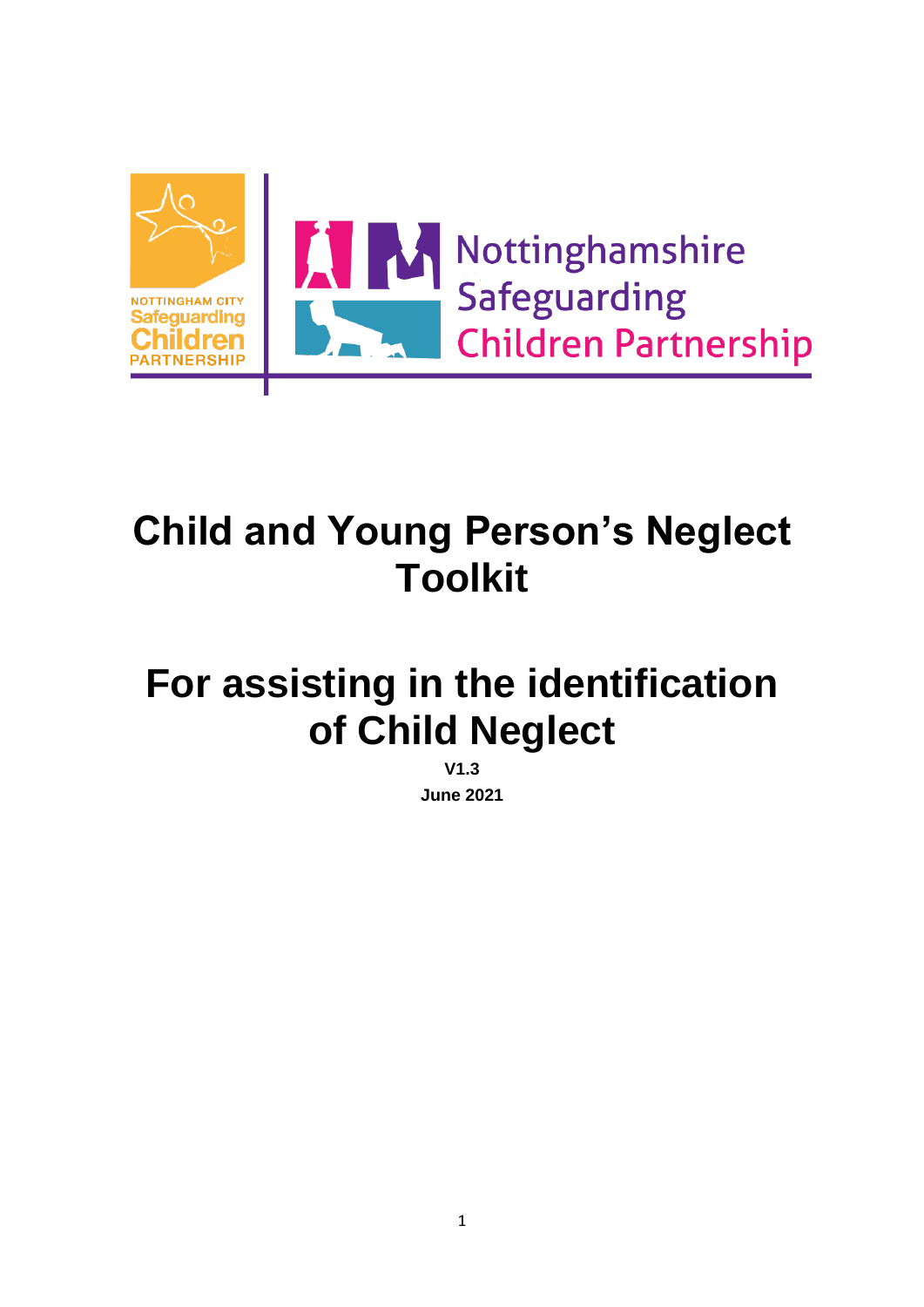

# **Child and Young Person's Neglect Toolkit**

# **For assisting in the identification of Child Neglect**

**V1.3 June 2021**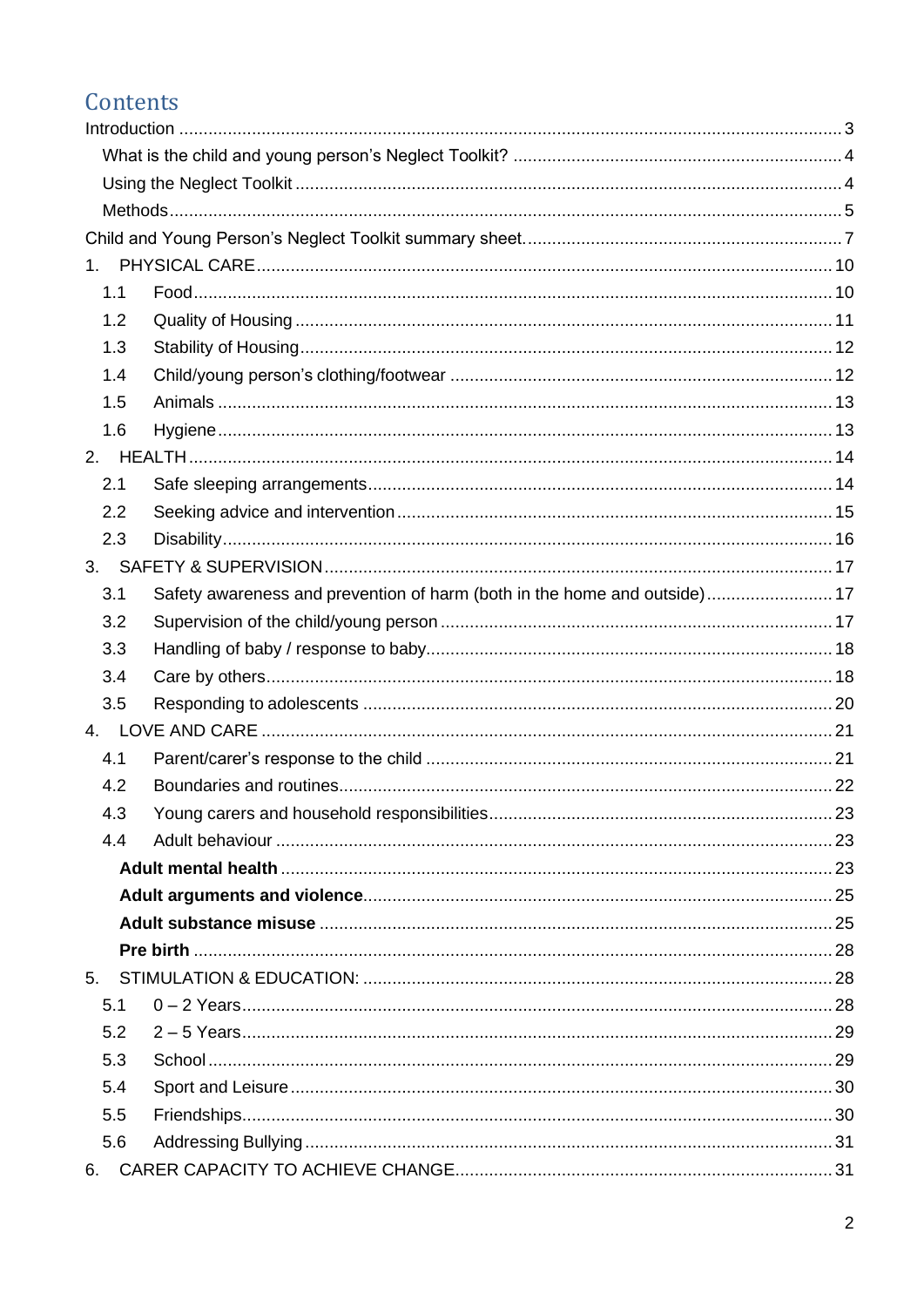### Contents

| 1.  |                                                                           |     |
|-----|---------------------------------------------------------------------------|-----|
| 1.1 |                                                                           |     |
| 1.2 |                                                                           |     |
| 1.3 |                                                                           |     |
| 1.4 |                                                                           |     |
| 1.5 |                                                                           |     |
| 1.6 |                                                                           |     |
|     |                                                                           |     |
| 2.1 |                                                                           |     |
| 2.2 |                                                                           |     |
| 2.3 |                                                                           |     |
|     |                                                                           |     |
| 3.1 | Safety awareness and prevention of harm (both in the home and outside) 17 |     |
| 3.2 |                                                                           |     |
| 3.3 |                                                                           |     |
| 3.4 |                                                                           |     |
| 3.5 |                                                                           |     |
|     |                                                                           |     |
| 4.1 |                                                                           |     |
| 4.2 |                                                                           |     |
| 4.3 | Young carers and household responsibilities                               | -23 |
| 4.4 |                                                                           |     |
|     |                                                                           |     |
|     |                                                                           |     |
|     |                                                                           |     |
|     |                                                                           |     |
| 5.  |                                                                           |     |
| 5.1 |                                                                           |     |
| 5.2 |                                                                           |     |
| 5.3 |                                                                           |     |
| 5.4 |                                                                           |     |
| 5.5 |                                                                           |     |
| 5.6 |                                                                           |     |
|     |                                                                           |     |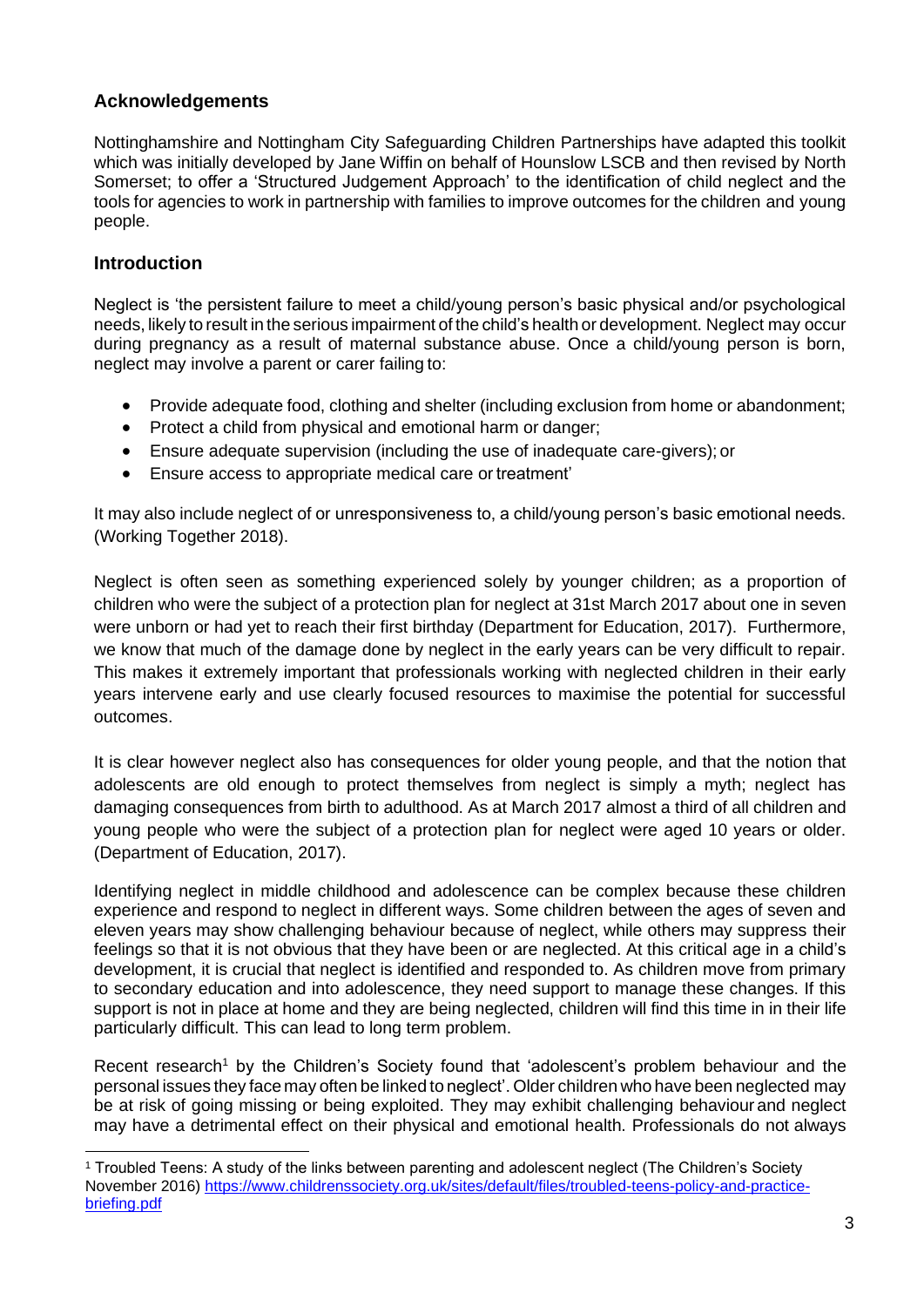### **Acknowledgements**

Nottinghamshire and Nottingham City Safeguarding Children Partnerships have adapted this toolkit which was initially developed by Jane Wiffin on behalf of Hounslow LSCB and then revised by North Somerset; to offer a 'Structured Judgement Approach' to the identification of child neglect and the tools for agencies to work in partnership with families to improve outcomes for the children and young people.

#### <span id="page-2-0"></span>**Introduction**

Neglect is 'the persistent failure to meet a child/young person's basic physical and/or psychological needs, likely to result in the serious impairment of the child's health or development. Neglect may occur during pregnancy as a result of maternal substance abuse. Once a child/young person is born, neglect may involve a parent or carer failing to:

- Provide adequate food, clothing and shelter (including exclusion from home or abandonment;
- Protect a child from physical and emotional harm or danger;
- Ensure adequate supervision (including the use of inadequate care-givers); or
- Ensure access to appropriate medical care or treatment'

It may also include neglect of or unresponsiveness to, a child/young person's basic emotional needs. (Working Together 2018).

Neglect is often seen as something experienced solely by younger children; as a proportion of children who were the subject of a protection plan for neglect at 31st March 2017 about one in seven were unborn or had yet to reach their first birthday (Department for Education, 2017). Furthermore, we know that much of the damage done by neglect in the early years can be very difficult to repair. This makes it extremely important that professionals working with neglected children in their early years intervene early and use clearly focused resources to maximise the potential for successful outcomes.

It is clear however neglect also has consequences for older young people, and that the notion that adolescents are old enough to protect themselves from neglect is simply a myth; neglect has damaging consequences from birth to adulthood. As at March 2017 almost a third of all children and young people who were the subject of a protection plan for neglect were aged 10 years or older. (Department of Education, 2017).

Identifying neglect in middle childhood and adolescence can be complex because these children experience and respond to neglect in different ways. Some children between the ages of seven and eleven years may show challenging behaviour because of neglect, while others may suppress their feelings so that it is not obvious that they have been or are neglected. At this critical age in a child's development, it is crucial that neglect is identified and responded to. As children move from primary to secondary education and into adolescence, they need support to manage these changes. If this support is not in place at home and they are being neglected, children will find this time in in their life particularly difficult. This can lead to long term problem.

Recent research<sup>1</sup> by the Children's Society found that 'adolescent's problem behaviour and the personal issues they face may often be linked to neglect'. Older children who have been neglected may be at risk of going missing or being exploited. They may exhibit challenging behaviour and neglect may have a detrimental effect on their physical and emotional health. Professionals do not always

<sup>1</sup> Troubled Teens: A study of the links between parenting and adolescent neglect (The Children's Society November 2016) [https://www.childrenssociety.org.uk/sites/default/files/troubled-teens-policy-and-practice](https://www.childrenssociety.org.uk/sites/default/files/troubled-teens-policy-and-practice-briefing.pdf)[briefing.pdf](https://www.childrenssociety.org.uk/sites/default/files/troubled-teens-policy-and-practice-briefing.pdf)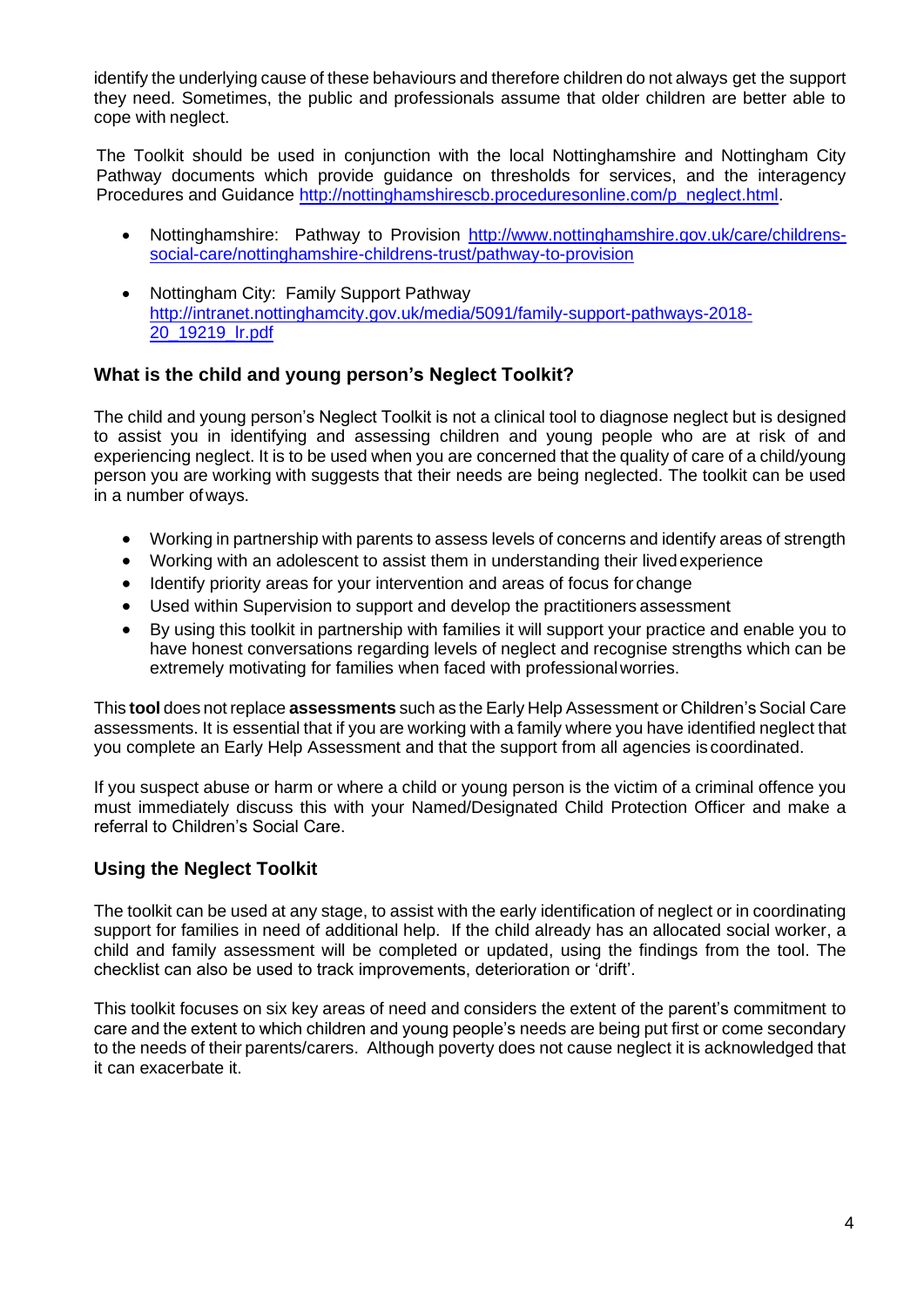identify the underlying cause of these behaviours and therefore children do not always get the support they need. Sometimes, the public and professionals assume that older children are better able to cope with neglect.

The Toolkit should be used in conjunction with the local Nottinghamshire and Nottingham City Pathway documents which provide guidance on thresholds for services, and the interagency Procedures and Guidance [http://nottinghamshirescb.proceduresonline.com/p\\_neglect.html.](http://nottinghamshirescb.proceduresonline.com/p_neglect.html)

- Nottinghamshire: Pathway to Provision [http://www.nottinghamshire.gov.uk/care/childrens](http://www.nottinghamshire.gov.uk/care/childrens-social-care/nottinghamshire-childrens-trust/pathway-to-provision)[social-care/nottinghamshire-childrens-trust/pathway-to-provision](http://www.nottinghamshire.gov.uk/care/childrens-social-care/nottinghamshire-childrens-trust/pathway-to-provision)
- Nottingham City: Family Support Pathway [http://intranet.nottinghamcity.gov.uk/media/5091/family-support-pathways-2018-](http://intranet.nottinghamcity.gov.uk/media/5091/family-support-pathways-2018-20_19219_lr.pdf) [20\\_19219\\_lr.pdf](http://intranet.nottinghamcity.gov.uk/media/5091/family-support-pathways-2018-20_19219_lr.pdf)

### <span id="page-3-0"></span>**What is the child and young person's Neglect Toolkit?**

The child and young person's Neglect Toolkit is not a clinical tool to diagnose neglect but is designed to assist you in identifying and assessing children and young people who are at risk of and experiencing neglect. It is to be used when you are concerned that the quality of care of a child/young person you are working with suggests that their needs are being neglected. The toolkit can be used in a number of ways.

- Working in partnership with parents to assess levels of concerns and identify areas of strength
- Working with an adolescent to assist them in understanding their livedexperience
- Identify priority areas for your intervention and areas of focus for change
- Used within Supervision to support and develop the practitioners assessment
- By using this toolkit in partnership with families it will support your practice and enable you to have honest conversations regarding levels of neglect and recognise strengths which can be extremely motivating for families when faced with professionalworries.

This **tool** does not replace **assessments** such as the Early Help Assessment or Children'sSocial Care assessments. It is essential that if you are working with a family where you have identified neglect that you complete an Early Help Assessment and that the support from all agencies is coordinated.

If you suspect abuse or harm or where a child or young person is the victim of a criminal offence you must immediately discuss this with your Named/Designated Child Protection Officer and make a referral to Children's Social Care.

### <span id="page-3-1"></span>**Using the Neglect Toolkit**

The toolkit can be used at any stage, to assist with the early identification of neglect or in coordinating support for families in need of additional help. If the child already has an allocated social worker, a child and family assessment will be completed or updated, using the findings from the tool. The checklist can also be used to track improvements, deterioration or 'drift'.

This toolkit focuses on six key areas of need and considers the extent of the parent's commitment to care and the extent to which children and young people's needs are being put first or come secondary to the needs of their parents/carers. Although poverty does not cause neglect it is acknowledged that it can exacerbate it.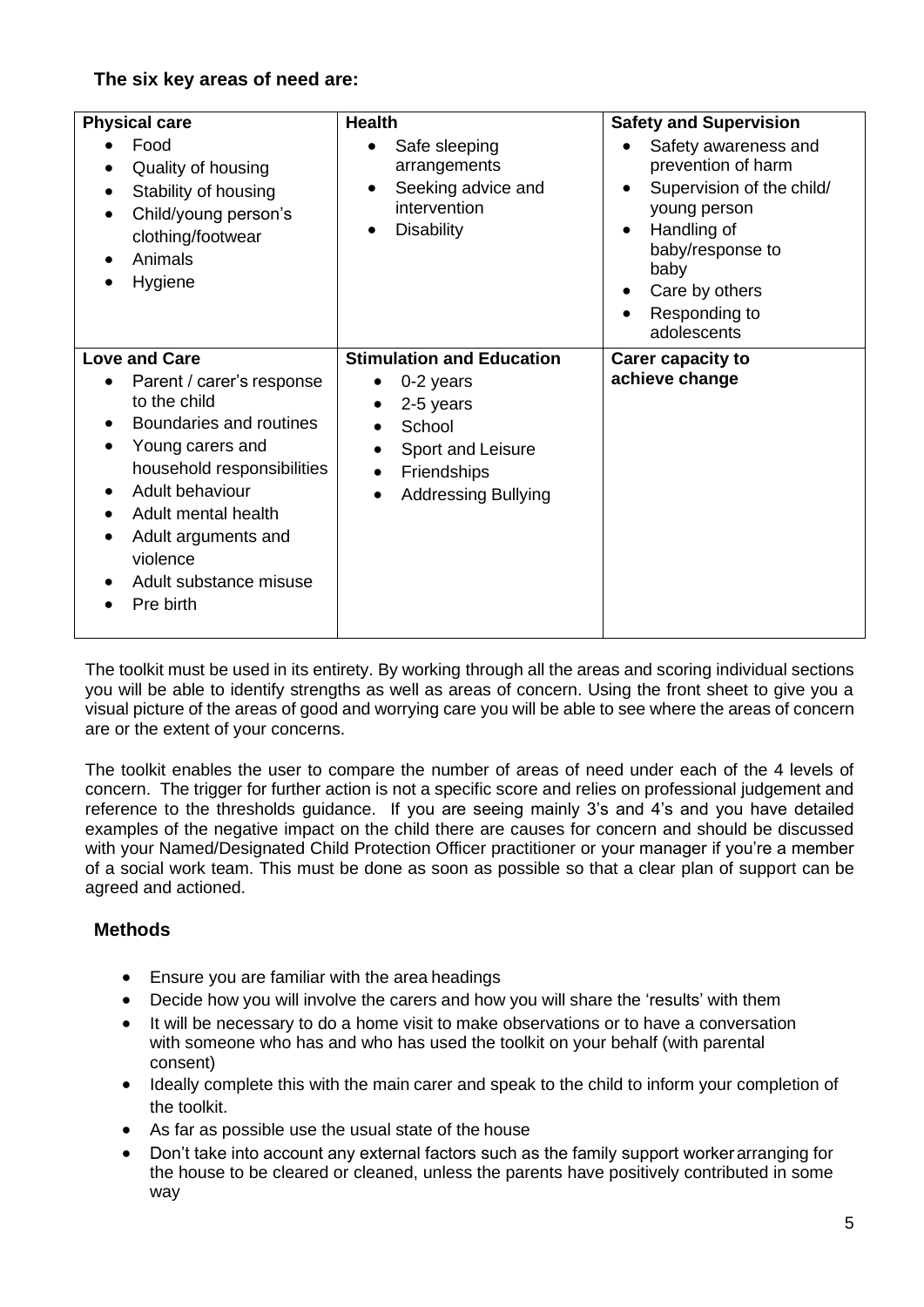### **The six key areas of need are:**

| <b>Physical care</b><br>Food<br>Quality of housing<br>Stability of housing<br>Child/young person's<br>clothing/footwear<br>Animals<br>Hygiene                                                                                                                      | <b>Health</b><br>Safe sleeping<br>arrangements<br>Seeking advice and<br>intervention<br><b>Disability</b><br>$\bullet$                                                                                              | <b>Safety and Supervision</b><br>Safety awareness and<br>prevention of harm<br>Supervision of the child/<br>young person<br>Handling of<br>baby/response to<br>baby<br>Care by others<br>$\bullet$<br>Responding to<br>adolescents |
|--------------------------------------------------------------------------------------------------------------------------------------------------------------------------------------------------------------------------------------------------------------------|---------------------------------------------------------------------------------------------------------------------------------------------------------------------------------------------------------------------|------------------------------------------------------------------------------------------------------------------------------------------------------------------------------------------------------------------------------------|
| <b>Love and Care</b><br>Parent / carer's response<br>to the child<br>Boundaries and routines<br>Young carers and<br>household responsibilities<br>Adult behaviour<br>Adult mental health<br>Adult arguments and<br>violence<br>Adult substance misuse<br>Pre birth | <b>Stimulation and Education</b><br>0-2 years<br>٠<br>2-5 years<br>$\bullet$<br>School<br>$\bullet$<br>Sport and Leisure<br>$\bullet$<br><b>Friendships</b><br>$\bullet$<br><b>Addressing Bullying</b><br>$\bullet$ | <b>Carer capacity to</b><br>achieve change                                                                                                                                                                                         |

The toolkit must be used in its entirety. By working through all the areas and scoring individual sections you will be able to identify strengths as well as areas of concern. Using the front sheet to give you a visual picture of the areas of good and worrying care you will be able to see where the areas of concern are or the extent of your concerns.

The toolkit enables the user to compare the number of areas of need under each of the 4 levels of concern. The trigger for further action is not a specific score and relies on professional judgement and reference to the thresholds guidance. If you are seeing mainly 3's and 4's and you have detailed examples of the negative impact on the child there are causes for concern and should be discussed with your Named/Designated Child Protection Officer practitioner or your manager if you're a member of a social work team. This must be done as soon as possible so that a clear plan of support can be agreed and actioned.

### <span id="page-4-0"></span>**Methods**

- Ensure you are familiar with the area headings
- Decide how you will involve the carers and how you will share the 'results' with them
- It will be necessary to do a home visit to make observations or to have a conversation with someone who has and who has used the toolkit on your behalf (with parental consent)
- Ideally complete this with the main carer and speak to the child to inform your completion of the toolkit.
- As far as possible use the usual state of the house
- Don't take into account any external factors such as the family support workerarranging for the house to be cleared or cleaned, unless the parents have positively contributed in some way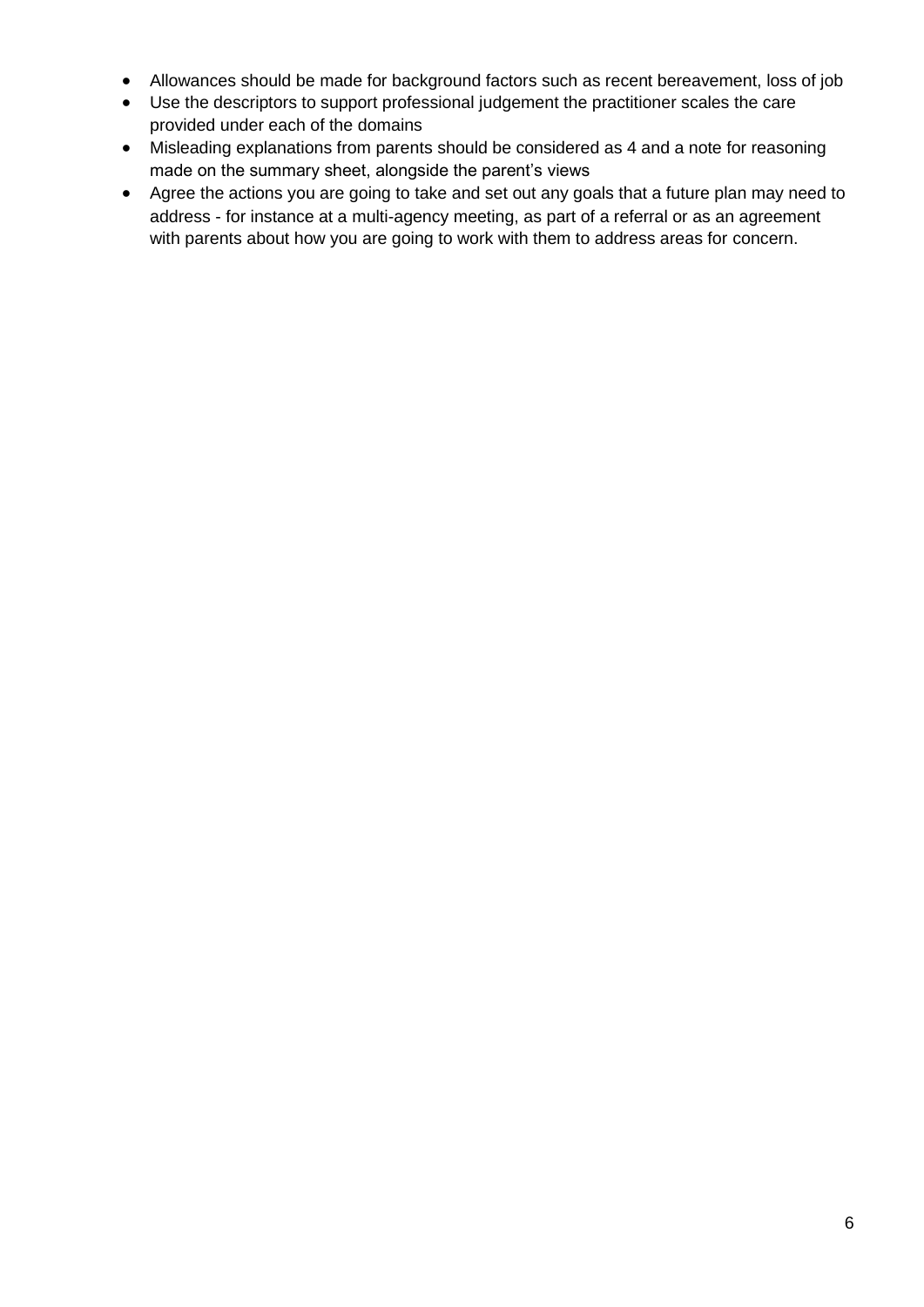- Allowances should be made for background factors such as recent bereavement, loss of job
- Use the descriptors to support professional judgement the practitioner scales the care provided under each of the domains
- Misleading explanations from parents should be considered as 4 and a note for reasoning made on the summary sheet, alongside the parent's views
- Agree the actions you are going to take and set out any goals that a future plan may need to address - for instance at a multi-agency meeting, as part of a referral or as an agreement with parents about how you are going to work with them to address areas for concern.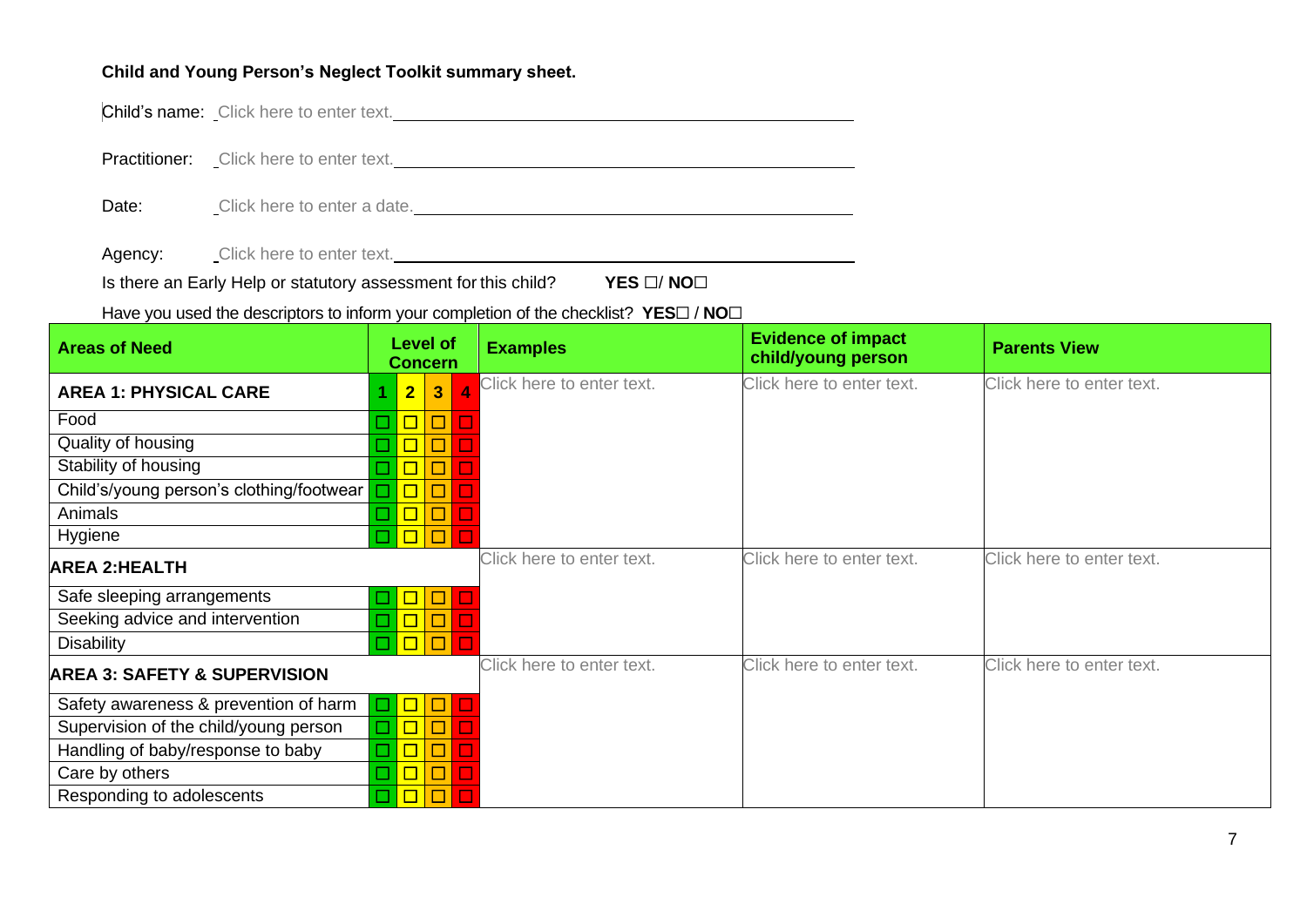#### **Child and Young Person's Neglect Toolkit summary sheet.**

Child's name: Click here to enter text.

Practitioner: Click here to enter text.

Date: Click here to enter a date. <u>Click here to enter a date</u>

Agency: Click here to enter text.

Is there an Early Help or statutory assessment for this child? **YES** ☐/ **NO**☐

Have you used the descriptors to inform your completion of the checklist? **YES**☐ / **NO**☐

<span id="page-6-0"></span>

| <b>Areas of Need</b>                        |                |                | <b>Level of</b><br><b>Concern</b> | <b>Examples</b>           | <b>Evidence of impact</b><br>child/young person | <b>Parents View</b>       |
|---------------------------------------------|----------------|----------------|-----------------------------------|---------------------------|-------------------------------------------------|---------------------------|
| <b>AREA 1: PHYSICAL CARE</b>                |                | $\overline{2}$ | $\overline{3}$                    | Click here to enter text. | Click here to enter text.                       | Click here to enter text. |
| Food                                        |                |                |                                   |                           |                                                 |                           |
| Quality of housing                          |                |                |                                   |                           |                                                 |                           |
| Stability of housing                        |                | $\Box$         |                                   |                           |                                                 |                           |
| Child's/young person's clothing/footwear    |                | $\Box$         |                                   |                           |                                                 |                           |
| Animals                                     |                |                |                                   |                           |                                                 |                           |
| Hygiene                                     |                |                |                                   |                           |                                                 |                           |
| <b>AREA 2:HEALTH</b>                        |                |                |                                   | Click here to enter text. | Click here to enter text.                       | Click here to enter text. |
| Safe sleeping arrangements                  | $\mathbf{r}$   | $\Box$         |                                   |                           |                                                 |                           |
| Seeking advice and intervention             | Т,             | $\Box$         |                                   |                           |                                                 |                           |
| <b>Disability</b>                           | $\mathbb{Z}^2$ | $\Box$         |                                   |                           |                                                 |                           |
| <b>AREA 3: SAFETY &amp; SUPERVISION</b>     |                |                | Click here to enter text.         | Click here to enter text. | Click here to enter text.                       |                           |
| Safety awareness & prevention of harm       | $\Box$         | $\Box$         |                                   |                           |                                                 |                           |
| Supervision of the child/young person       | □              | $\Box$         |                                   |                           |                                                 |                           |
| Handling of baby/response to baby<br>$\Box$ |                | $\Box$         |                                   |                           |                                                 |                           |
| Care by others                              | $\mathbb{Z}$   | $\Box$         |                                   |                           |                                                 |                           |
| Responding to adolescents                   |                | $\Box$         | $\Box$                            |                           |                                                 |                           |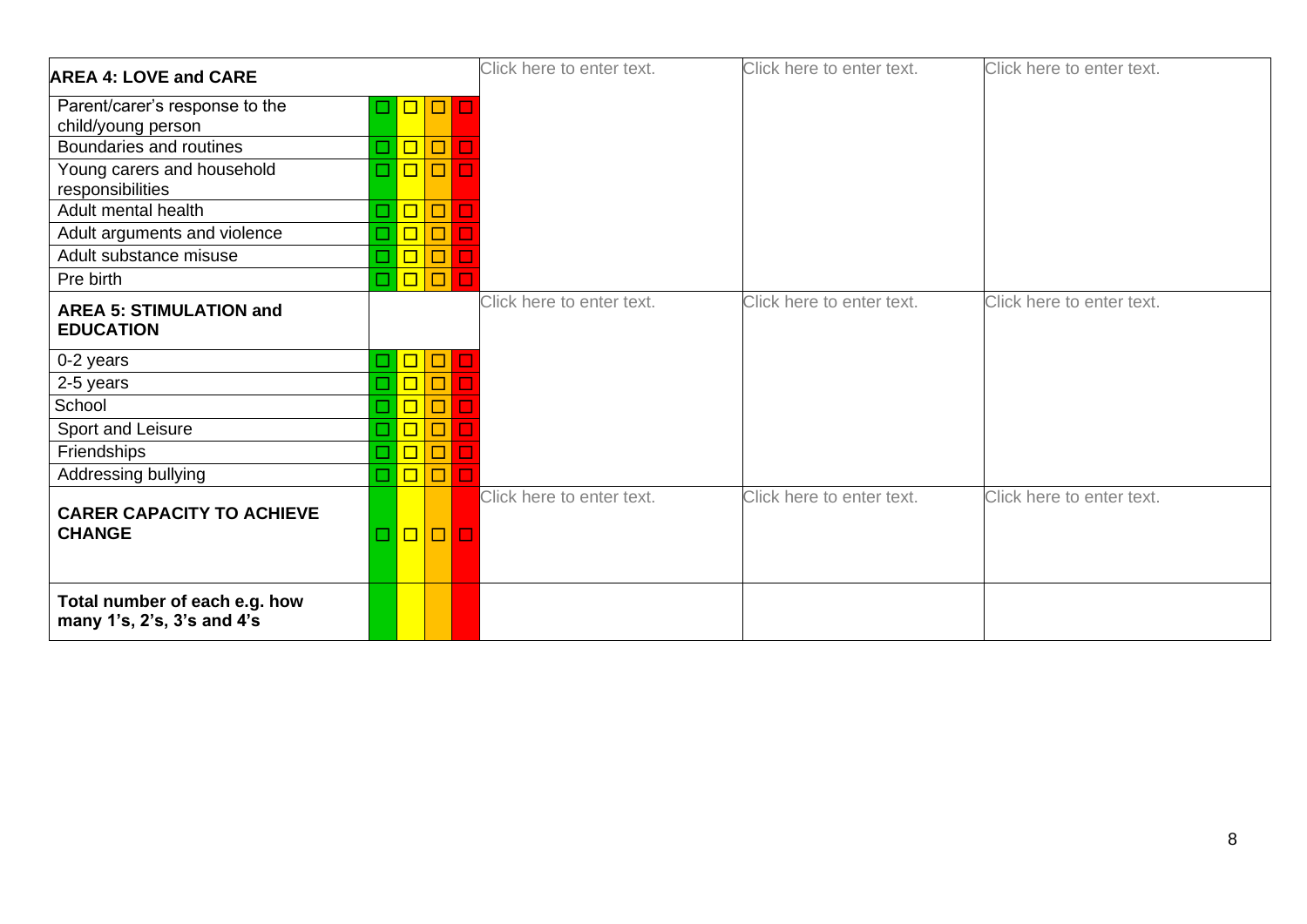| <b>AREA 4: LOVE and CARE</b>                                |                             |                  |                        | Click here to enter text. | Click here to enter text. | Click here to enter text. |
|-------------------------------------------------------------|-----------------------------|------------------|------------------------|---------------------------|---------------------------|---------------------------|
| Parent/carer's response to the                              | $\mathcal{L}$               |                  | $\Box$<br>$\mathbf{r}$ |                           |                           |                           |
| child/young person<br>Boundaries and routines               |                             |                  |                        |                           |                           |                           |
|                                                             | $\mathcal{L}_{\mathcal{A}}$ | $\Box$<br>$\Box$ | $\Box$                 |                           |                           |                           |
| Young carers and household<br>responsibilities              |                             |                  |                        |                           |                           |                           |
| Adult mental health                                         | $\mathbb{Z}^2$              | $\Box$           | □                      |                           |                           |                           |
| Adult arguments and violence                                |                             | $\Box$           | □                      |                           |                           |                           |
| Adult substance misuse                                      | $\mathbb{Z}$                | $\boxed{\Box}$   | $\Box$                 |                           |                           |                           |
| Pre birth                                                   | $\mathcal{L}_{\mathcal{A}}$ | $\Box$           |                        |                           |                           |                           |
| <b>AREA 5: STIMULATION and</b><br><b>EDUCATION</b>          |                             |                  |                        | Click here to enter text. | Click here to enter text. | Click here to enter text. |
| 0-2 years                                                   | $\mathcal{L}_{\mathcal{A}}$ | $\Box$           |                        |                           |                           |                           |
| 2-5 years                                                   |                             | $\Box$           |                        |                           |                           |                           |
| School                                                      |                             | $\Box$           |                        |                           |                           |                           |
| Sport and Leisure                                           |                             | $\Box$           |                        |                           |                           |                           |
| Friendships                                                 |                             | $\Box$           |                        |                           |                           |                           |
| Addressing bullying                                         | $\Box$                      | $\Box$           | $\Box$                 |                           |                           |                           |
| <b>CARER CAPACITY TO ACHIEVE</b><br><b>CHANGE</b>           | $\mathcal{L}_{\mathcal{A}}$ | $\Box$           | $\Box$                 | Click here to enter text. | Click here to enter text. | Click here to enter text. |
| Total number of each e.g. how<br>many 1's, 2's, 3's and 4's |                             |                  |                        |                           |                           |                           |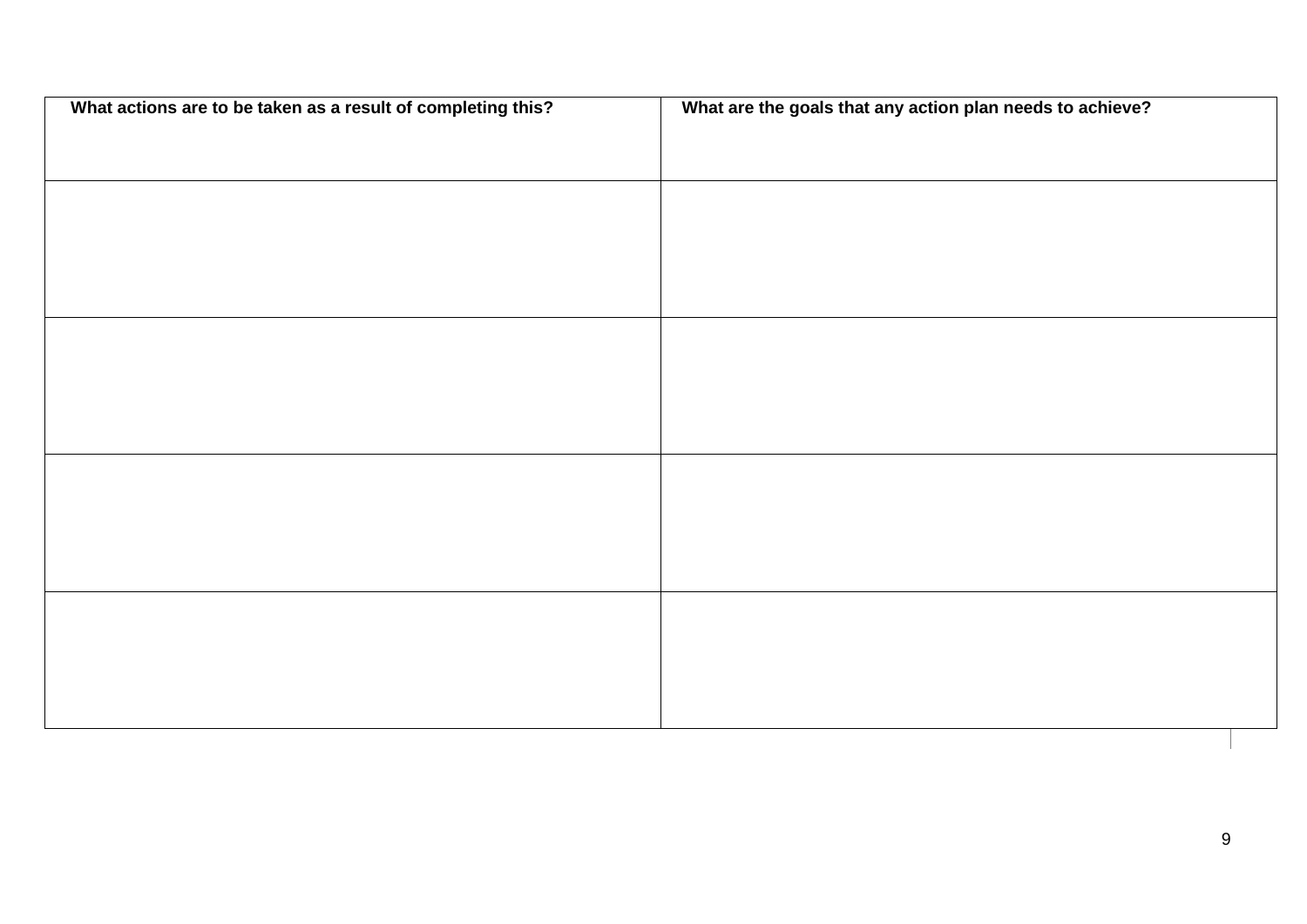| What actions are to be taken as a result of completing this? | What are the goals that any action plan needs to achieve? |
|--------------------------------------------------------------|-----------------------------------------------------------|
|                                                              |                                                           |
|                                                              |                                                           |
|                                                              |                                                           |
|                                                              |                                                           |
|                                                              |                                                           |
|                                                              |                                                           |
|                                                              |                                                           |
|                                                              |                                                           |
|                                                              |                                                           |
|                                                              |                                                           |
|                                                              |                                                           |
|                                                              |                                                           |
|                                                              |                                                           |
|                                                              |                                                           |
|                                                              |                                                           |
|                                                              |                                                           |
|                                                              |                                                           |
|                                                              |                                                           |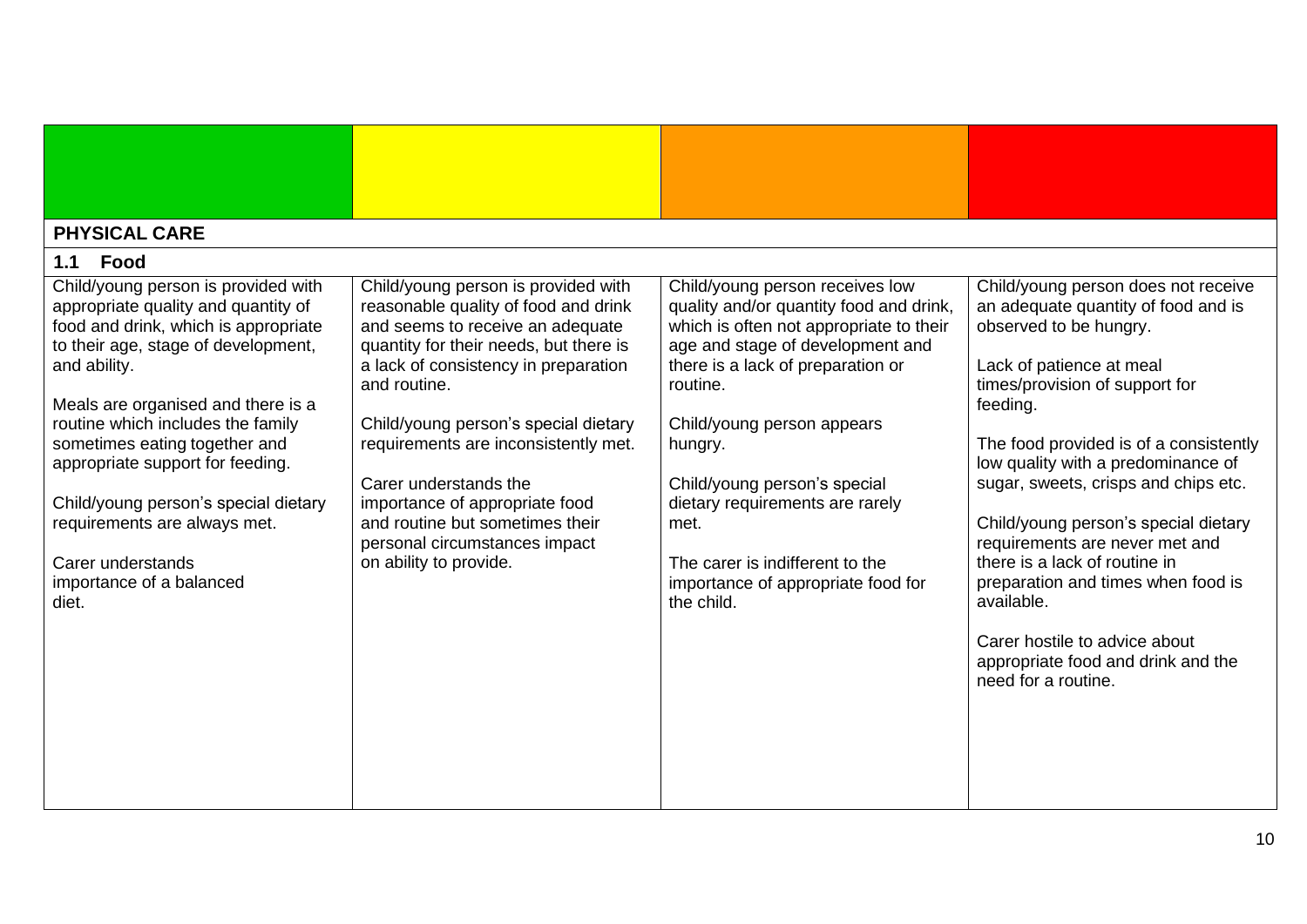<span id="page-9-1"></span><span id="page-9-0"></span>

| <b>PHYSICAL CARE</b>                                                                                                                                                                                                                                                                                                                                                                                                                                                                                                                                                                                                                                                                                                                                                                                                                                                                                                      |                                                                                                                                                                                                                                                                                                                                                                                                                       |                                                                                                                                                                                                                                                                                                                                                                                                                                                                                                                                                                     |
|---------------------------------------------------------------------------------------------------------------------------------------------------------------------------------------------------------------------------------------------------------------------------------------------------------------------------------------------------------------------------------------------------------------------------------------------------------------------------------------------------------------------------------------------------------------------------------------------------------------------------------------------------------------------------------------------------------------------------------------------------------------------------------------------------------------------------------------------------------------------------------------------------------------------------|-----------------------------------------------------------------------------------------------------------------------------------------------------------------------------------------------------------------------------------------------------------------------------------------------------------------------------------------------------------------------------------------------------------------------|---------------------------------------------------------------------------------------------------------------------------------------------------------------------------------------------------------------------------------------------------------------------------------------------------------------------------------------------------------------------------------------------------------------------------------------------------------------------------------------------------------------------------------------------------------------------|
| Food<br>1.1                                                                                                                                                                                                                                                                                                                                                                                                                                                                                                                                                                                                                                                                                                                                                                                                                                                                                                               |                                                                                                                                                                                                                                                                                                                                                                                                                       |                                                                                                                                                                                                                                                                                                                                                                                                                                                                                                                                                                     |
| Child/young person is provided with<br>Child/young person is provided with<br>reasonable quality of food and drink<br>appropriate quality and quantity of<br>food and drink, which is appropriate<br>and seems to receive an adequate<br>to their age, stage of development,<br>quantity for their needs, but there is<br>a lack of consistency in preparation<br>and ability.<br>and routine.<br>Meals are organised and there is a<br>routine which includes the family<br>Child/young person's special dietary<br>sometimes eating together and<br>requirements are inconsistently met.<br>appropriate support for feeding.<br>Carer understands the<br>Child/young person's special dietary<br>importance of appropriate food<br>requirements are always met.<br>and routine but sometimes their<br>personal circumstances impact<br>on ability to provide.<br>Carer understands<br>importance of a balanced<br>diet. | Child/young person receives low<br>quality and/or quantity food and drink,<br>which is often not appropriate to their<br>age and stage of development and<br>there is a lack of preparation or<br>routine.<br>Child/young person appears<br>hungry.<br>Child/young person's special<br>dietary requirements are rarely<br>met.<br>The carer is indifferent to the<br>importance of appropriate food for<br>the child. | Child/young person does not receive<br>an adequate quantity of food and is<br>observed to be hungry.<br>Lack of patience at meal<br>times/provision of support for<br>feeding.<br>The food provided is of a consistently<br>low quality with a predominance of<br>sugar, sweets, crisps and chips etc.<br>Child/young person's special dietary<br>requirements are never met and<br>there is a lack of routine in<br>preparation and times when food is<br>available.<br>Carer hostile to advice about<br>appropriate food and drink and the<br>need for a routine. |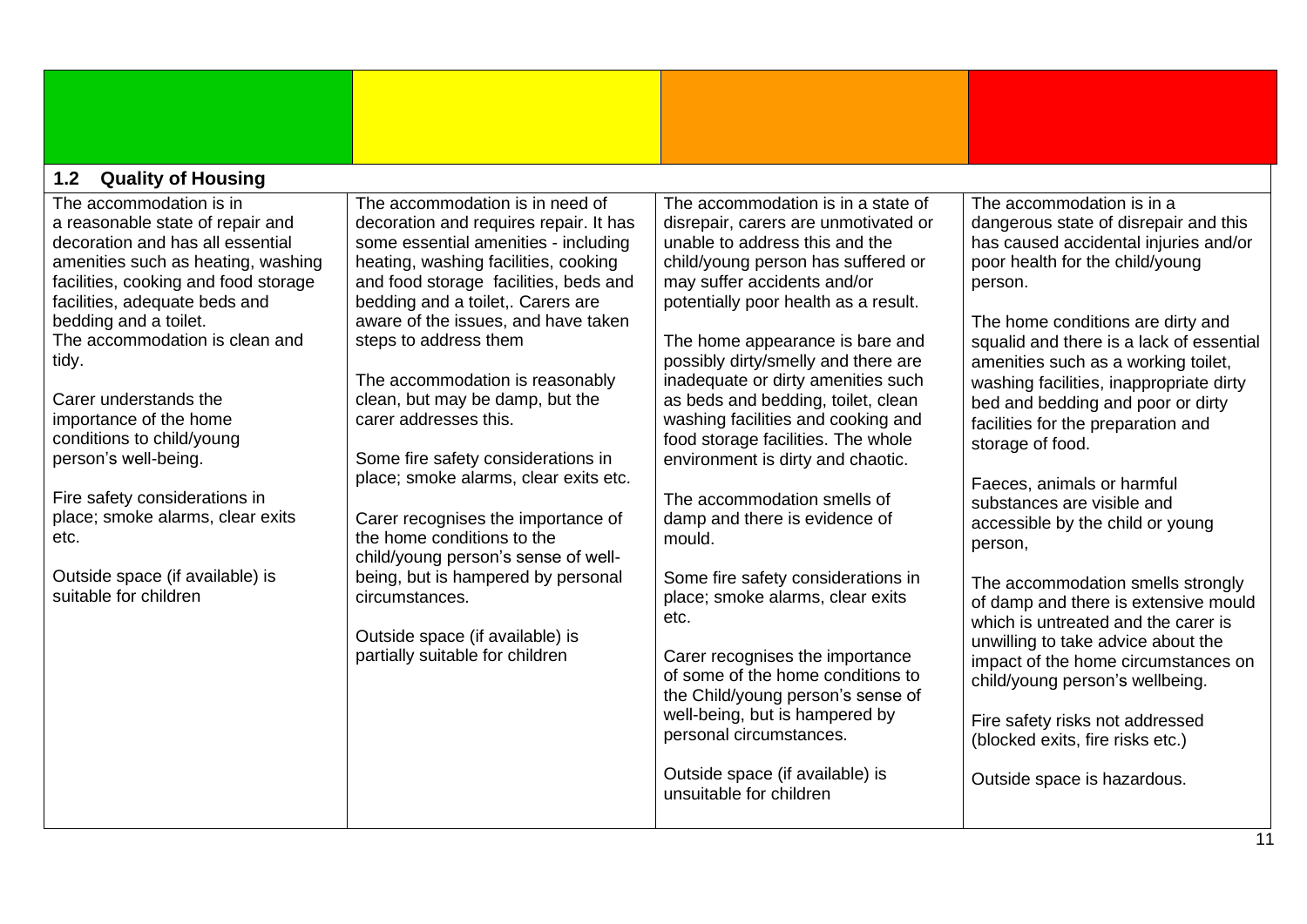<span id="page-10-0"></span>

| <b>Quality of Housing</b><br>1.2                                                                                                                                                                                                                                                                                                                                                                                                                                                                                                    |                                                                                                                                                                                                                                                                                                                                                                                                                                                                                                                                                                                                                                                                                                                                |                                                                                                                                                                                                                                                                                                                                                                                                                                                                                                                                                                                                                                                                                                                                                                                                                                                                                                      |                                                                                                                                                                                                                                                                                                                                                                                                                                                                                                                                                                                                                                                                                                                                                                                                                                                                                  |  |  |  |  |
|-------------------------------------------------------------------------------------------------------------------------------------------------------------------------------------------------------------------------------------------------------------------------------------------------------------------------------------------------------------------------------------------------------------------------------------------------------------------------------------------------------------------------------------|--------------------------------------------------------------------------------------------------------------------------------------------------------------------------------------------------------------------------------------------------------------------------------------------------------------------------------------------------------------------------------------------------------------------------------------------------------------------------------------------------------------------------------------------------------------------------------------------------------------------------------------------------------------------------------------------------------------------------------|------------------------------------------------------------------------------------------------------------------------------------------------------------------------------------------------------------------------------------------------------------------------------------------------------------------------------------------------------------------------------------------------------------------------------------------------------------------------------------------------------------------------------------------------------------------------------------------------------------------------------------------------------------------------------------------------------------------------------------------------------------------------------------------------------------------------------------------------------------------------------------------------------|----------------------------------------------------------------------------------------------------------------------------------------------------------------------------------------------------------------------------------------------------------------------------------------------------------------------------------------------------------------------------------------------------------------------------------------------------------------------------------------------------------------------------------------------------------------------------------------------------------------------------------------------------------------------------------------------------------------------------------------------------------------------------------------------------------------------------------------------------------------------------------|--|--|--|--|
| The accommodation is in<br>a reasonable state of repair and<br>decoration and has all essential<br>amenities such as heating, washing<br>facilities, cooking and food storage<br>facilities, adequate beds and<br>bedding and a toilet.<br>The accommodation is clean and<br>tidy.<br>Carer understands the<br>importance of the home<br>conditions to child/young<br>person's well-being.<br>Fire safety considerations in<br>place; smoke alarms, clear exits<br>etc.<br>Outside space (if available) is<br>suitable for children | The accommodation is in need of<br>decoration and requires repair. It has<br>some essential amenities - including<br>heating, washing facilities, cooking<br>and food storage facilities, beds and<br>bedding and a toilet,. Carers are<br>aware of the issues, and have taken<br>steps to address them<br>The accommodation is reasonably<br>clean, but may be damp, but the<br>carer addresses this.<br>Some fire safety considerations in<br>place; smoke alarms, clear exits etc.<br>Carer recognises the importance of<br>the home conditions to the<br>child/young person's sense of well-<br>being, but is hampered by personal<br>circumstances.<br>Outside space (if available) is<br>partially suitable for children | The accommodation is in a state of<br>disrepair, carers are unmotivated or<br>unable to address this and the<br>child/young person has suffered or<br>may suffer accidents and/or<br>potentially poor health as a result.<br>The home appearance is bare and<br>possibly dirty/smelly and there are<br>inadequate or dirty amenities such<br>as beds and bedding, toilet, clean<br>washing facilities and cooking and<br>food storage facilities. The whole<br>environment is dirty and chaotic.<br>The accommodation smells of<br>damp and there is evidence of<br>mould.<br>Some fire safety considerations in<br>place; smoke alarms, clear exits<br>etc.<br>Carer recognises the importance<br>of some of the home conditions to<br>the Child/young person's sense of<br>well-being, but is hampered by<br>personal circumstances.<br>Outside space (if available) is<br>unsuitable for children | The accommodation is in a<br>dangerous state of disrepair and this<br>has caused accidental injuries and/or<br>poor health for the child/young<br>person.<br>The home conditions are dirty and<br>squalid and there is a lack of essential<br>amenities such as a working toilet,<br>washing facilities, inappropriate dirty<br>bed and bedding and poor or dirty<br>facilities for the preparation and<br>storage of food.<br>Faeces, animals or harmful<br>substances are visible and<br>accessible by the child or young<br>person,<br>The accommodation smells strongly<br>of damp and there is extensive mould<br>which is untreated and the carer is<br>unwilling to take advice about the<br>impact of the home circumstances on<br>child/young person's wellbeing.<br>Fire safety risks not addressed<br>(blocked exits, fire risks etc.)<br>Outside space is hazardous. |  |  |  |  |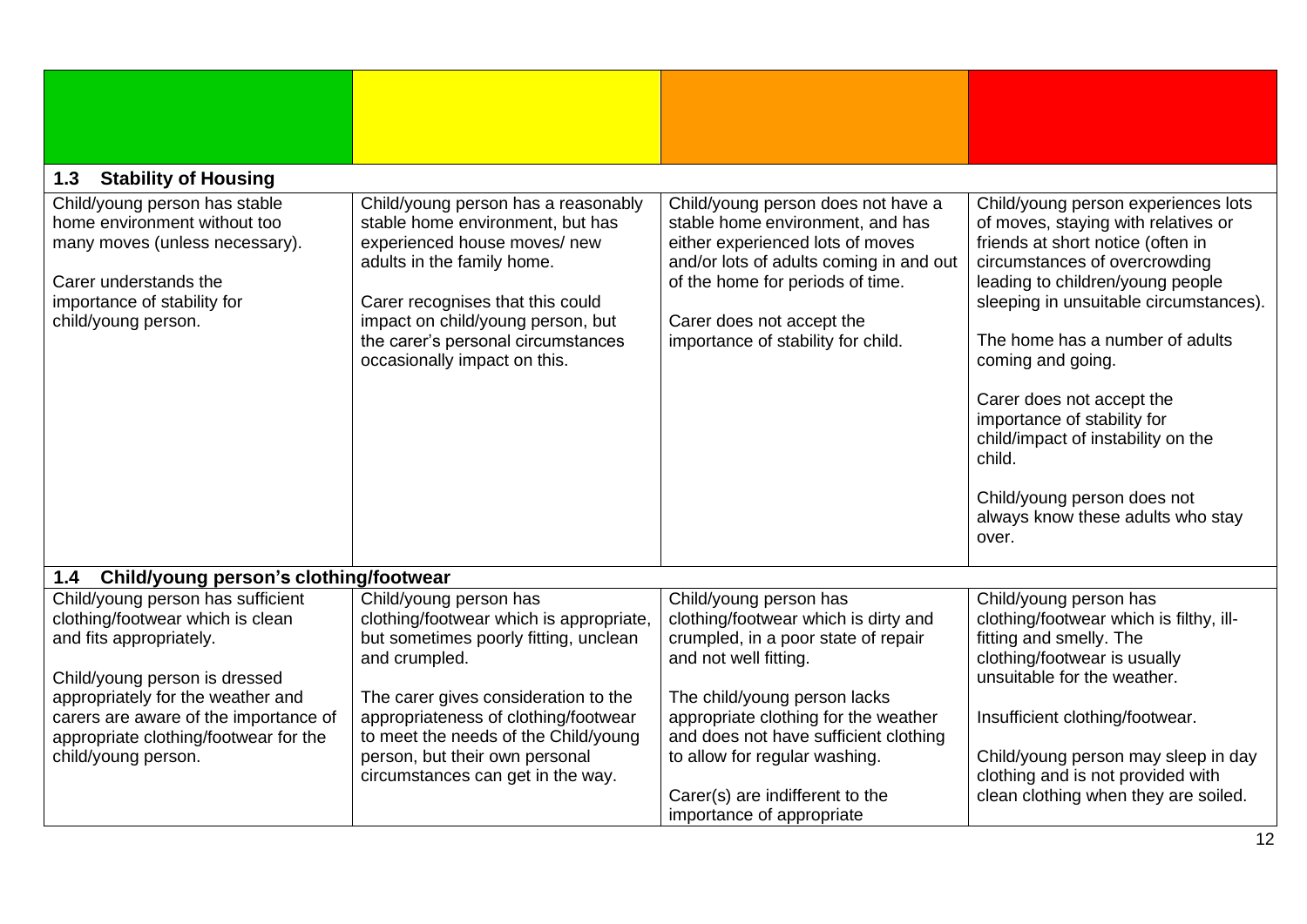<span id="page-11-1"></span><span id="page-11-0"></span>

| <b>Stability of Housing</b><br>1.3                                                                                                                                             |                                                                                                                                                                                                                                                                                      |                                                                                                                                                                                                                                                              |                                                                                                                                                                                                                                                                                                                                                                                                                                                                                 |
|--------------------------------------------------------------------------------------------------------------------------------------------------------------------------------|--------------------------------------------------------------------------------------------------------------------------------------------------------------------------------------------------------------------------------------------------------------------------------------|--------------------------------------------------------------------------------------------------------------------------------------------------------------------------------------------------------------------------------------------------------------|---------------------------------------------------------------------------------------------------------------------------------------------------------------------------------------------------------------------------------------------------------------------------------------------------------------------------------------------------------------------------------------------------------------------------------------------------------------------------------|
| Child/young person has stable<br>home environment without too<br>many moves (unless necessary).<br>Carer understands the<br>importance of stability for<br>child/young person. | Child/young person has a reasonably<br>stable home environment, but has<br>experienced house moves/ new<br>adults in the family home.<br>Carer recognises that this could<br>impact on child/young person, but<br>the carer's personal circumstances<br>occasionally impact on this. | Child/young person does not have a<br>stable home environment, and has<br>either experienced lots of moves<br>and/or lots of adults coming in and out<br>of the home for periods of time.<br>Carer does not accept the<br>importance of stability for child. | Child/young person experiences lots<br>of moves, staying with relatives or<br>friends at short notice (often in<br>circumstances of overcrowding<br>leading to children/young people<br>sleeping in unsuitable circumstances).<br>The home has a number of adults<br>coming and going.<br>Carer does not accept the<br>importance of stability for<br>child/impact of instability on the<br>child.<br>Child/young person does not<br>always know these adults who stay<br>over. |
| Child/young person's clothing/footwear<br>1.4                                                                                                                                  |                                                                                                                                                                                                                                                                                      |                                                                                                                                                                                                                                                              |                                                                                                                                                                                                                                                                                                                                                                                                                                                                                 |
| Child/young person has sufficient<br>clothing/footwear which is clean<br>and fits appropriately.<br>Child/young person is dressed<br>appropriately for the weather and         | Child/young person has<br>clothing/footwear which is appropriate,<br>but sometimes poorly fitting, unclean<br>and crumpled.<br>The carer gives consideration to the                                                                                                                  | Child/young person has<br>clothing/footwear which is dirty and<br>crumpled, in a poor state of repair<br>and not well fitting.<br>The child/young person lacks                                                                                               | Child/young person has<br>clothing/footwear which is filthy, ill-<br>fitting and smelly. The<br>clothing/footwear is usually<br>unsuitable for the weather.                                                                                                                                                                                                                                                                                                                     |
| carers are aware of the importance of<br>appropriate clothing/footwear for the<br>child/young person.                                                                          | appropriateness of clothing/footwear<br>to meet the needs of the Child/young<br>person, but their own personal<br>circumstances can get in the way.                                                                                                                                  | appropriate clothing for the weather<br>and does not have sufficient clothing<br>to allow for regular washing.<br>Carer(s) are indifferent to the<br>importance of appropriate                                                                               | Insufficient clothing/footwear.<br>Child/young person may sleep in day<br>clothing and is not provided with<br>clean clothing when they are soiled.                                                                                                                                                                                                                                                                                                                             |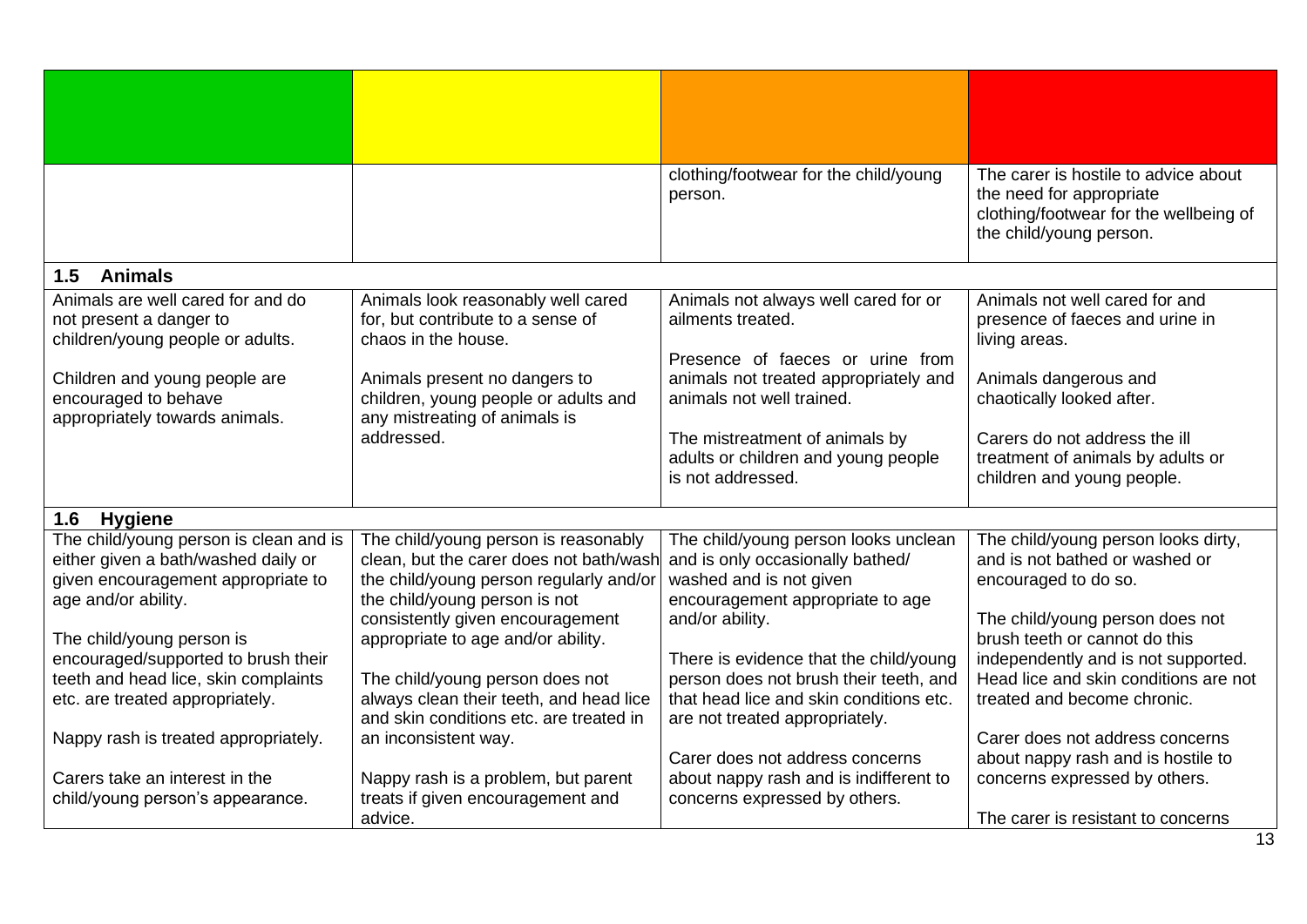<span id="page-12-1"></span><span id="page-12-0"></span>

|                                                                                                  |                                                                                                                       | clothing/footwear for the child/young<br>person.                                                                    | The carer is hostile to advice about<br>the need for appropriate<br>clothing/footwear for the wellbeing of<br>the child/young person. |
|--------------------------------------------------------------------------------------------------|-----------------------------------------------------------------------------------------------------------------------|---------------------------------------------------------------------------------------------------------------------|---------------------------------------------------------------------------------------------------------------------------------------|
| 1.5<br><b>Animals</b>                                                                            |                                                                                                                       |                                                                                                                     |                                                                                                                                       |
| Animals are well cared for and do<br>not present a danger to<br>children/young people or adults. | Animals look reasonably well cared<br>for, but contribute to a sense of<br>chaos in the house.                        | Animals not always well cared for or<br>ailments treated.<br>Presence of faeces or urine from                       | Animals not well cared for and<br>presence of faeces and urine in<br>living areas.                                                    |
| Children and young people are<br>encouraged to behave<br>appropriately towards animals.          | Animals present no dangers to<br>children, young people or adults and<br>any mistreating of animals is                | animals not treated appropriately and<br>animals not well trained.                                                  | Animals dangerous and<br>chaotically looked after.                                                                                    |
|                                                                                                  | addressed.                                                                                                            | The mistreatment of animals by<br>adults or children and young people<br>is not addressed.                          | Carers do not address the ill<br>treatment of animals by adults or<br>children and young people.                                      |
| <b>Hygiene</b><br>1.6                                                                            |                                                                                                                       |                                                                                                                     |                                                                                                                                       |
| The child/young person is clean and is<br>either given a bath/washed daily or                    | The child/young person is reasonably<br>clean, but the carer does not bath/wash                                       | The child/young person looks unclean<br>and is only occasionally bathed/                                            | The child/young person looks dirty,<br>and is not bathed or washed or                                                                 |
| given encouragement appropriate to<br>age and/or ability.                                        | the child/young person regularly and/or<br>the child/young person is not                                              | washed and is not given<br>encouragement appropriate to age                                                         | encouraged to do so.                                                                                                                  |
| The child/young person is                                                                        | consistently given encouragement<br>appropriate to age and/or ability.                                                | and/or ability.                                                                                                     | The child/young person does not<br>brush teeth or cannot do this                                                                      |
| encouraged/supported to brush their                                                              |                                                                                                                       | There is evidence that the child/young                                                                              | independently and is not supported.                                                                                                   |
| teeth and head lice, skin complaints<br>etc. are treated appropriately.                          | The child/young person does not<br>always clean their teeth, and head lice<br>and skin conditions etc. are treated in | person does not brush their teeth, and<br>that head lice and skin conditions etc.<br>are not treated appropriately. | Head lice and skin conditions are not<br>treated and become chronic.                                                                  |
| Nappy rash is treated appropriately.                                                             | an inconsistent way.                                                                                                  |                                                                                                                     | Carer does not address concerns                                                                                                       |
| Carers take an interest in the<br>child/young person's appearance.                               | Nappy rash is a problem, but parent<br>treats if given encouragement and                                              | Carer does not address concerns<br>about nappy rash and is indifferent to<br>concerns expressed by others.          | about nappy rash and is hostile to<br>concerns expressed by others.                                                                   |
|                                                                                                  | advice.                                                                                                               |                                                                                                                     | The carer is resistant to concerns                                                                                                    |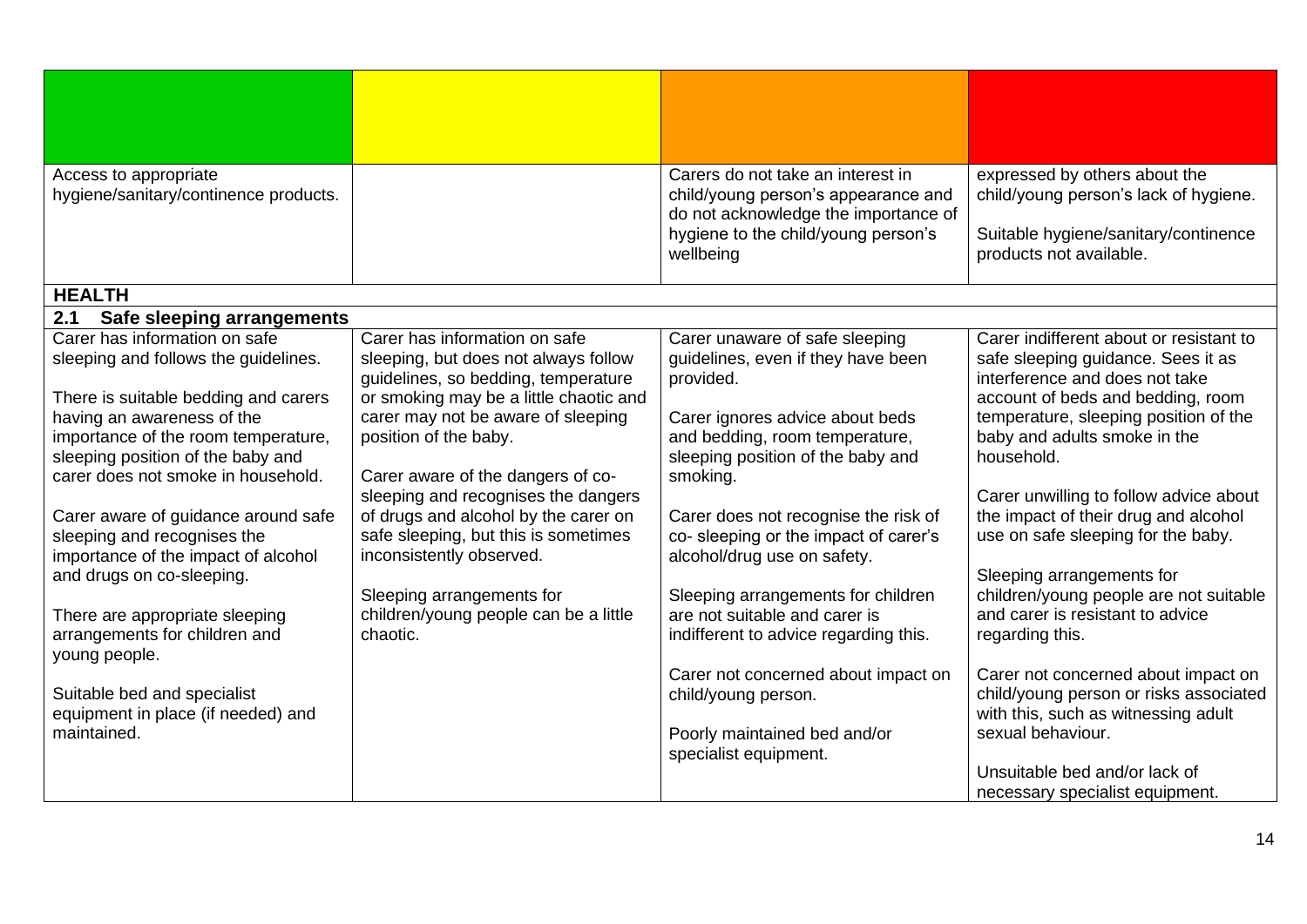<span id="page-13-1"></span><span id="page-13-0"></span>

| Access to appropriate                                              |                                                                               | Carers do not take an interest in                                           | expressed by others about the                                                 |
|--------------------------------------------------------------------|-------------------------------------------------------------------------------|-----------------------------------------------------------------------------|-------------------------------------------------------------------------------|
| hygiene/sanitary/continence products.                              |                                                                               | child/young person's appearance and                                         | child/young person's lack of hygiene.                                         |
|                                                                    |                                                                               | do not acknowledge the importance of<br>hygiene to the child/young person's | Suitable hygiene/sanitary/continence                                          |
|                                                                    |                                                                               | wellbeing                                                                   | products not available.                                                       |
|                                                                    |                                                                               |                                                                             |                                                                               |
| <b>HEALTH</b>                                                      |                                                                               |                                                                             |                                                                               |
| 2.1<br>Safe sleeping arrangements                                  |                                                                               |                                                                             |                                                                               |
| Carer has information on safe                                      | Carer has information on safe                                                 | Carer unaware of safe sleeping                                              | Carer indifferent about or resistant to                                       |
| sleeping and follows the guidelines.                               | sleeping, but does not always follow                                          | guidelines, even if they have been                                          | safe sleeping guidance. Sees it as                                            |
|                                                                    | guidelines, so bedding, temperature<br>or smoking may be a little chaotic and | provided.                                                                   | interference and does not take<br>account of beds and bedding, room           |
| There is suitable bedding and carers<br>having an awareness of the | carer may not be aware of sleeping                                            | Carer ignores advice about beds                                             | temperature, sleeping position of the                                         |
| importance of the room temperature,                                | position of the baby.                                                         | and bedding, room temperature,                                              | baby and adults smoke in the                                                  |
| sleeping position of the baby and                                  |                                                                               | sleeping position of the baby and                                           | household.                                                                    |
| carer does not smoke in household.                                 | Carer aware of the dangers of co-                                             | smoking.                                                                    |                                                                               |
|                                                                    | sleeping and recognises the dangers                                           |                                                                             | Carer unwilling to follow advice about                                        |
| Carer aware of guidance around safe                                | of drugs and alcohol by the carer on                                          | Carer does not recognise the risk of                                        | the impact of their drug and alcohol                                          |
| sleeping and recognises the<br>importance of the impact of alcohol | safe sleeping, but this is sometimes<br>inconsistently observed.              | co- sleeping or the impact of carer's<br>alcohol/drug use on safety.        | use on safe sleeping for the baby.                                            |
| and drugs on co-sleeping.                                          |                                                                               |                                                                             | Sleeping arrangements for                                                     |
|                                                                    | Sleeping arrangements for                                                     | Sleeping arrangements for children                                          | children/young people are not suitable                                        |
| There are appropriate sleeping                                     | children/young people can be a little                                         | are not suitable and carer is                                               | and carer is resistant to advice                                              |
| arrangements for children and                                      | chaotic.                                                                      | indifferent to advice regarding this.                                       | regarding this.                                                               |
| young people.                                                      |                                                                               |                                                                             |                                                                               |
| Suitable bed and specialist                                        |                                                                               | Carer not concerned about impact on                                         | Carer not concerned about impact on<br>child/young person or risks associated |
| equipment in place (if needed) and                                 |                                                                               | child/young person.                                                         | with this, such as witnessing adult                                           |
| maintained.                                                        |                                                                               | Poorly maintained bed and/or                                                | sexual behaviour.                                                             |
|                                                                    |                                                                               | specialist equipment.                                                       |                                                                               |
|                                                                    |                                                                               |                                                                             | Unsuitable bed and/or lack of                                                 |
|                                                                    |                                                                               |                                                                             | necessary specialist equipment.                                               |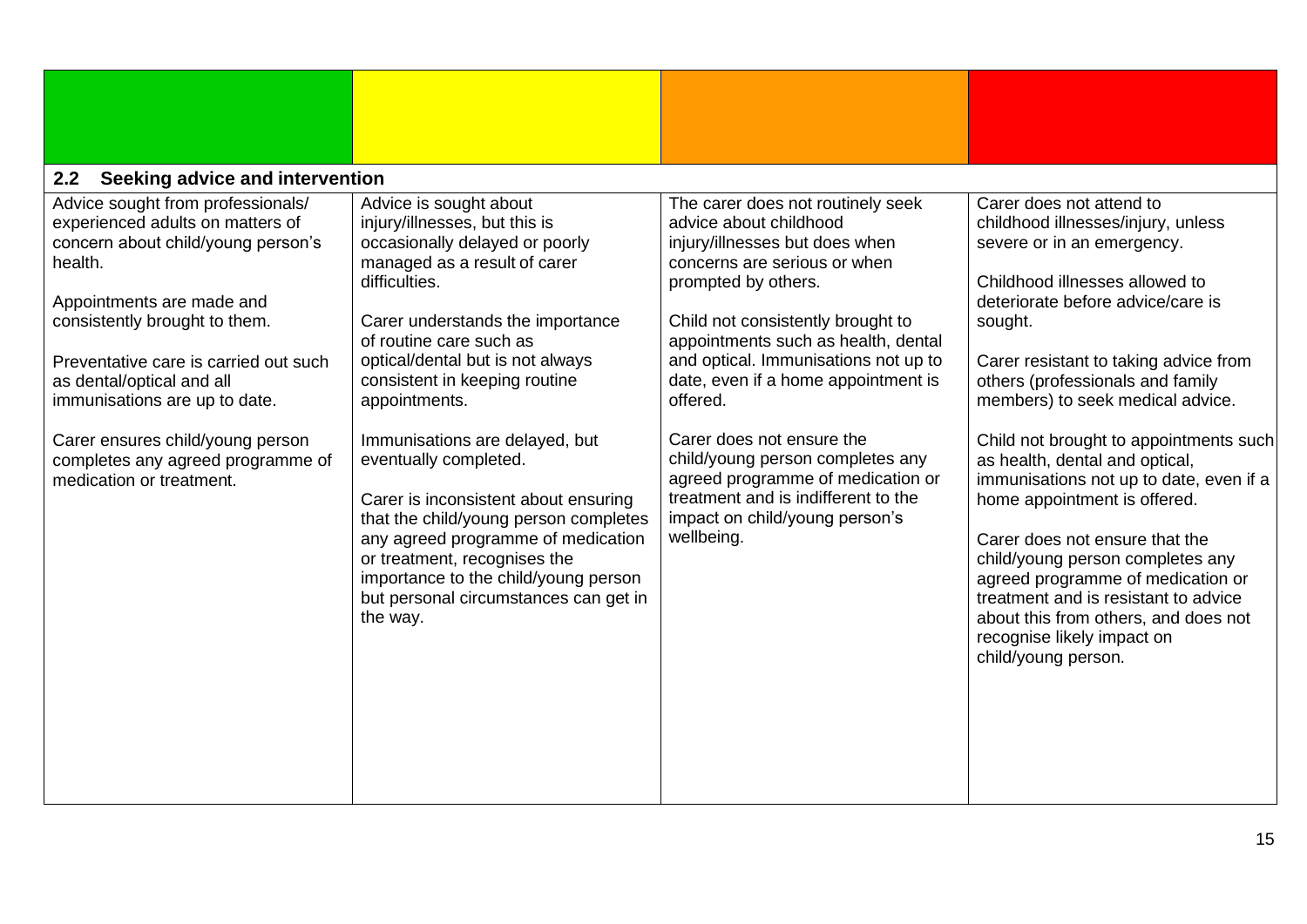<span id="page-14-0"></span>

| Seeking advice and intervention<br>2.2                                                                                                                                                                                                                                                                                                                                                           |                                                                                                                                                                                                                                                                                                                                                                                                                                                                                                                                                                                                                |                                                                                                                                                                                                                                                                                                                                                                                                                                                                                                                          |                                                                                                                                                                                                                                                                                                                                                                                                                                                                                                                                                                                                                                                                                                        |
|--------------------------------------------------------------------------------------------------------------------------------------------------------------------------------------------------------------------------------------------------------------------------------------------------------------------------------------------------------------------------------------------------|----------------------------------------------------------------------------------------------------------------------------------------------------------------------------------------------------------------------------------------------------------------------------------------------------------------------------------------------------------------------------------------------------------------------------------------------------------------------------------------------------------------------------------------------------------------------------------------------------------------|--------------------------------------------------------------------------------------------------------------------------------------------------------------------------------------------------------------------------------------------------------------------------------------------------------------------------------------------------------------------------------------------------------------------------------------------------------------------------------------------------------------------------|--------------------------------------------------------------------------------------------------------------------------------------------------------------------------------------------------------------------------------------------------------------------------------------------------------------------------------------------------------------------------------------------------------------------------------------------------------------------------------------------------------------------------------------------------------------------------------------------------------------------------------------------------------------------------------------------------------|
| Advice sought from professionals/<br>experienced adults on matters of<br>concern about child/young person's<br>health.<br>Appointments are made and<br>consistently brought to them.<br>Preventative care is carried out such<br>as dental/optical and all<br>immunisations are up to date.<br>Carer ensures child/young person<br>completes any agreed programme of<br>medication or treatment. | Advice is sought about<br>injury/illnesses, but this is<br>occasionally delayed or poorly<br>managed as a result of carer<br>difficulties.<br>Carer understands the importance<br>of routine care such as<br>optical/dental but is not always<br>consistent in keeping routine<br>appointments.<br>Immunisations are delayed, but<br>eventually completed.<br>Carer is inconsistent about ensuring<br>that the child/young person completes<br>any agreed programme of medication<br>or treatment, recognises the<br>importance to the child/young person<br>but personal circumstances can get in<br>the way. | The carer does not routinely seek<br>advice about childhood<br>injury/illnesses but does when<br>concerns are serious or when<br>prompted by others.<br>Child not consistently brought to<br>appointments such as health, dental<br>and optical. Immunisations not up to<br>date, even if a home appointment is<br>offered.<br>Carer does not ensure the<br>child/young person completes any<br>agreed programme of medication or<br>treatment and is indifferent to the<br>impact on child/young person's<br>wellbeing. | Carer does not attend to<br>childhood illnesses/injury, unless<br>severe or in an emergency.<br>Childhood illnesses allowed to<br>deteriorate before advice/care is<br>sought.<br>Carer resistant to taking advice from<br>others (professionals and family<br>members) to seek medical advice.<br>Child not brought to appointments such<br>as health, dental and optical,<br>immunisations not up to date, even if a<br>home appointment is offered.<br>Carer does not ensure that the<br>child/young person completes any<br>agreed programme of medication or<br>treatment and is resistant to advice<br>about this from others, and does not<br>recognise likely impact on<br>child/young person. |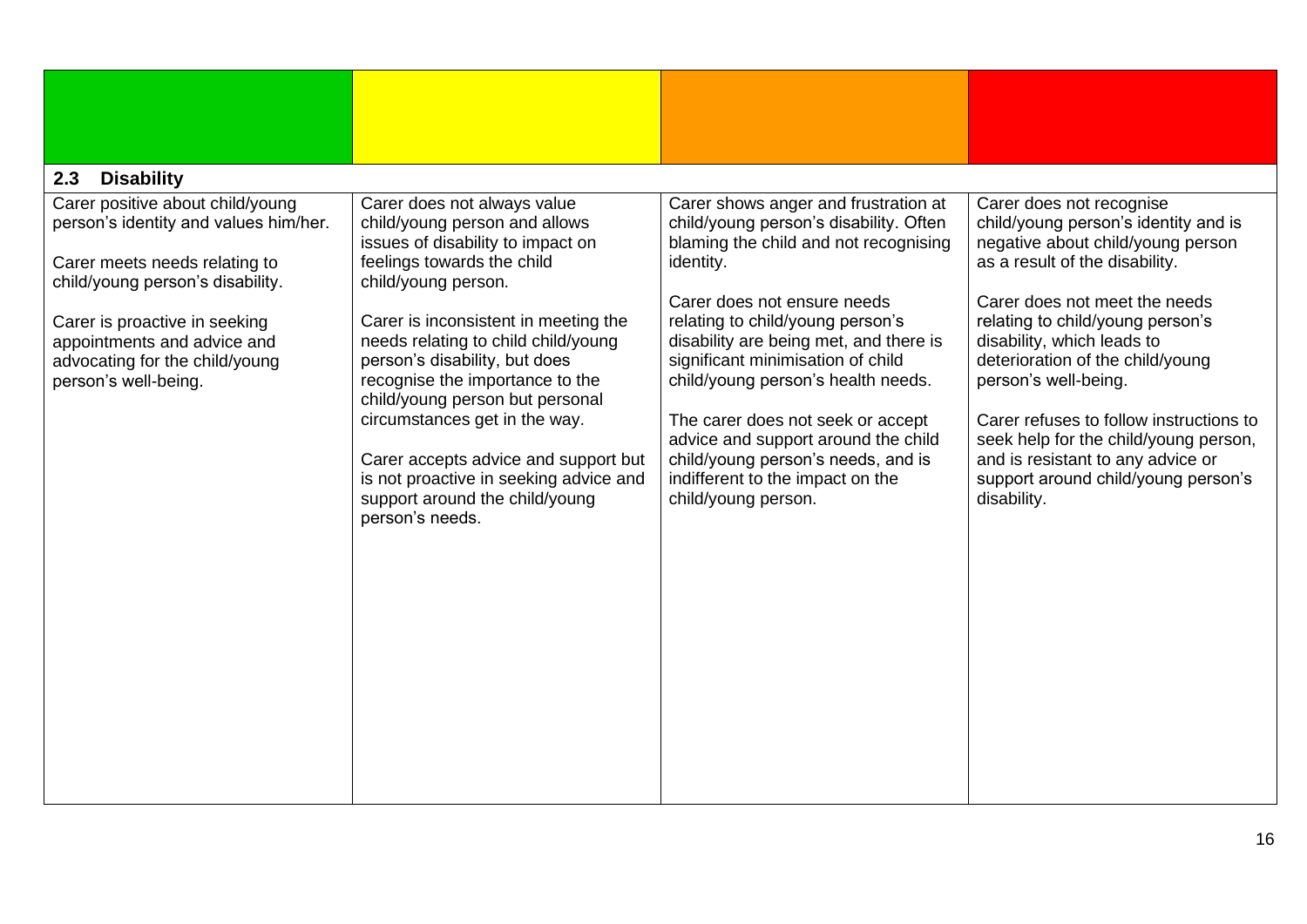<span id="page-15-0"></span>

| 2.3<br><b>Disability</b>                                                                                                                                                                                                                                                 |                                                                                                                                                                                                                                                                                                                                                                                                                                                                                                                      |                                                                                                                                                                                                                                                                                                                                                                                                                                                                                                           |                                                                                                                                                                                                                                                                                                                                                                                                                                                                                       |  |  |  |  |  |
|--------------------------------------------------------------------------------------------------------------------------------------------------------------------------------------------------------------------------------------------------------------------------|----------------------------------------------------------------------------------------------------------------------------------------------------------------------------------------------------------------------------------------------------------------------------------------------------------------------------------------------------------------------------------------------------------------------------------------------------------------------------------------------------------------------|-----------------------------------------------------------------------------------------------------------------------------------------------------------------------------------------------------------------------------------------------------------------------------------------------------------------------------------------------------------------------------------------------------------------------------------------------------------------------------------------------------------|---------------------------------------------------------------------------------------------------------------------------------------------------------------------------------------------------------------------------------------------------------------------------------------------------------------------------------------------------------------------------------------------------------------------------------------------------------------------------------------|--|--|--|--|--|
| Carer positive about child/young<br>person's identity and values him/her.<br>Carer meets needs relating to<br>child/young person's disability.<br>Carer is proactive in seeking<br>appointments and advice and<br>advocating for the child/young<br>person's well-being. | Carer does not always value<br>child/young person and allows<br>issues of disability to impact on<br>feelings towards the child<br>child/young person.<br>Carer is inconsistent in meeting the<br>needs relating to child child/young<br>person's disability, but does<br>recognise the importance to the<br>child/young person but personal<br>circumstances get in the way.<br>Carer accepts advice and support but<br>is not proactive in seeking advice and<br>support around the child/young<br>person's needs. | Carer shows anger and frustration at<br>child/young person's disability. Often<br>blaming the child and not recognising<br>identity.<br>Carer does not ensure needs<br>relating to child/young person's<br>disability are being met, and there is<br>significant minimisation of child<br>child/young person's health needs.<br>The carer does not seek or accept<br>advice and support around the child<br>child/young person's needs, and is<br>indifferent to the impact on the<br>child/young person. | Carer does not recognise<br>child/young person's identity and is<br>negative about child/young person<br>as a result of the disability.<br>Carer does not meet the needs<br>relating to child/young person's<br>disability, which leads to<br>deterioration of the child/young<br>person's well-being.<br>Carer refuses to follow instructions to<br>seek help for the child/young person,<br>and is resistant to any advice or<br>support around child/young person's<br>disability. |  |  |  |  |  |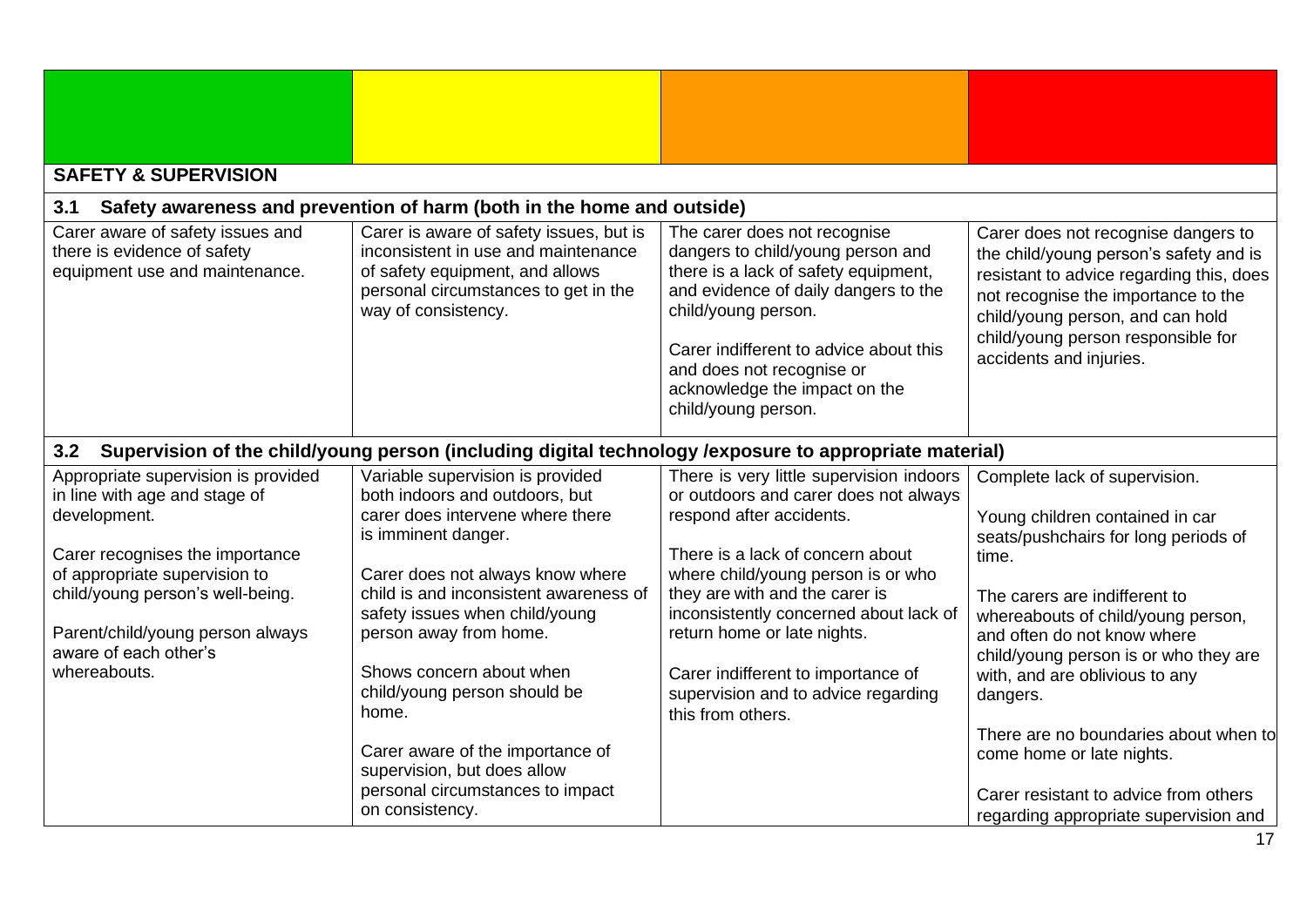<span id="page-16-2"></span><span id="page-16-1"></span><span id="page-16-0"></span>

| <b>SAFETY &amp; SUPERVISION</b>                                                                                                                                                                                                                                           |                                                                                                                                                                                                                                                                                                                                     |                                                                                                                                                                                                                                                                                                                                                                                 |                                                                                                                                                                                                                                                                                                                |
|---------------------------------------------------------------------------------------------------------------------------------------------------------------------------------------------------------------------------------------------------------------------------|-------------------------------------------------------------------------------------------------------------------------------------------------------------------------------------------------------------------------------------------------------------------------------------------------------------------------------------|---------------------------------------------------------------------------------------------------------------------------------------------------------------------------------------------------------------------------------------------------------------------------------------------------------------------------------------------------------------------------------|----------------------------------------------------------------------------------------------------------------------------------------------------------------------------------------------------------------------------------------------------------------------------------------------------------------|
| 3.1                                                                                                                                                                                                                                                                       | Safety awareness and prevention of harm (both in the home and outside)                                                                                                                                                                                                                                                              |                                                                                                                                                                                                                                                                                                                                                                                 |                                                                                                                                                                                                                                                                                                                |
| Carer aware of safety issues and<br>there is evidence of safety<br>equipment use and maintenance.                                                                                                                                                                         | Carer is aware of safety issues, but is<br>inconsistent in use and maintenance<br>of safety equipment, and allows<br>personal circumstances to get in the<br>way of consistency.                                                                                                                                                    | The carer does not recognise<br>dangers to child/young person and<br>there is a lack of safety equipment,<br>and evidence of daily dangers to the<br>child/young person.<br>Carer indifferent to advice about this<br>and does not recognise or<br>acknowledge the impact on the<br>child/young person.                                                                         | Carer does not recognise dangers to<br>the child/young person's safety and is<br>resistant to advice regarding this, does<br>not recognise the importance to the<br>child/young person, and can hold<br>child/young person responsible for<br>accidents and injuries.                                          |
|                                                                                                                                                                                                                                                                           |                                                                                                                                                                                                                                                                                                                                     | 3.2 Supervision of the child/young person (including digital technology /exposure to appropriate material)                                                                                                                                                                                                                                                                      |                                                                                                                                                                                                                                                                                                                |
| Appropriate supervision is provided<br>in line with age and stage of<br>development.<br>Carer recognises the importance<br>of appropriate supervision to<br>child/young person's well-being.<br>Parent/child/young person always<br>aware of each other's<br>whereabouts. | Variable supervision is provided<br>both indoors and outdoors, but<br>carer does intervene where there<br>is imminent danger.<br>Carer does not always know where<br>child is and inconsistent awareness of<br>safety issues when child/young<br>person away from home.<br>Shows concern about when<br>child/young person should be | There is very little supervision indoors<br>or outdoors and carer does not always<br>respond after accidents.<br>There is a lack of concern about<br>where child/young person is or who<br>they are with and the carer is<br>inconsistently concerned about lack of<br>return home or late nights.<br>Carer indifferent to importance of<br>supervision and to advice regarding | Complete lack of supervision.<br>Young children contained in car<br>seats/pushchairs for long periods of<br>time.<br>The carers are indifferent to<br>whereabouts of child/young person,<br>and often do not know where<br>child/young person is or who they are<br>with, and are oblivious to any<br>dangers. |
|                                                                                                                                                                                                                                                                           | home.<br>Carer aware of the importance of<br>supervision, but does allow<br>personal circumstances to impact<br>on consistency.                                                                                                                                                                                                     | this from others.                                                                                                                                                                                                                                                                                                                                                               | There are no boundaries about when to<br>come home or late nights.<br>Carer resistant to advice from others<br>regarding appropriate supervision and                                                                                                                                                           |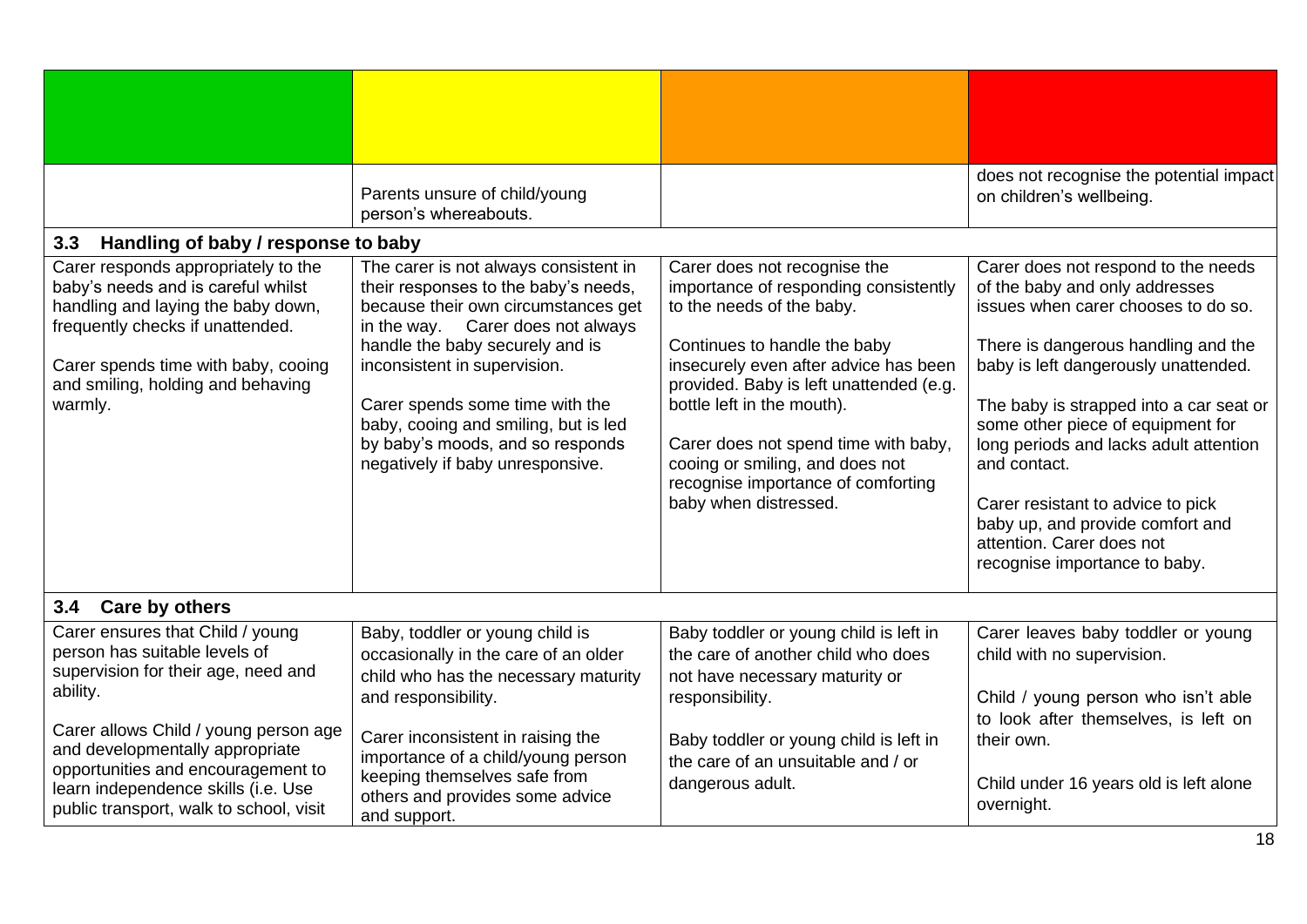<span id="page-17-1"></span><span id="page-17-0"></span>

|                                                                          | Parents unsure of child/young<br>person's whereabouts.          |                                                                                  | does not recognise the potential impact<br>on children's wellbeing. |
|--------------------------------------------------------------------------|-----------------------------------------------------------------|----------------------------------------------------------------------------------|---------------------------------------------------------------------|
| 3.3<br>Handling of baby / response to baby                               |                                                                 |                                                                                  |                                                                     |
| Carer responds appropriately to the                                      | The carer is not always consistent in                           | Carer does not recognise the                                                     | Carer does not respond to the needs                                 |
| baby's needs and is careful whilst                                       | their responses to the baby's needs,                            | importance of responding consistently                                            | of the baby and only addresses                                      |
| handling and laying the baby down,                                       | because their own circumstances get                             | to the needs of the baby.                                                        | issues when carer chooses to do so.                                 |
| frequently checks if unattended.                                         | in the way. Carer does not always                               |                                                                                  |                                                                     |
|                                                                          | handle the baby securely and is                                 | Continues to handle the baby                                                     | There is dangerous handling and the                                 |
| Carer spends time with baby, cooing<br>and smiling, holding and behaving | inconsistent in supervision.                                    | insecurely even after advice has been<br>provided. Baby is left unattended (e.g. | baby is left dangerously unattended.                                |
| warmly.                                                                  | Carer spends some time with the                                 | bottle left in the mouth).                                                       | The baby is strapped into a car seat or                             |
|                                                                          | baby, cooing and smiling, but is led                            |                                                                                  | some other piece of equipment for                                   |
|                                                                          | by baby's moods, and so responds                                | Carer does not spend time with baby,                                             | long periods and lacks adult attention                              |
|                                                                          | negatively if baby unresponsive.                                | cooing or smiling, and does not                                                  | and contact.                                                        |
|                                                                          |                                                                 | recognise importance of comforting                                               |                                                                     |
|                                                                          |                                                                 | baby when distressed.                                                            | Carer resistant to advice to pick                                   |
|                                                                          |                                                                 |                                                                                  | baby up, and provide comfort and<br>attention. Carer does not       |
|                                                                          |                                                                 |                                                                                  | recognise importance to baby.                                       |
|                                                                          |                                                                 |                                                                                  |                                                                     |
| 3.4 Care by others                                                       |                                                                 |                                                                                  |                                                                     |
| Carer ensures that Child / young                                         | Baby, toddler or young child is                                 | Baby toddler or young child is left in                                           | Carer leaves baby toddler or young                                  |
| person has suitable levels of                                            | occasionally in the care of an older                            | the care of another child who does                                               | child with no supervision.                                          |
| supervision for their age, need and                                      | child who has the necessary maturity                            | not have necessary maturity or                                                   |                                                                     |
| ability.                                                                 | and responsibility.                                             | responsibility.                                                                  | Child / young person who isn't able                                 |
|                                                                          |                                                                 |                                                                                  | to look after themselves, is left on                                |
| Carer allows Child / young person age<br>and developmentally appropriate | Carer inconsistent in raising the                               | Baby toddler or young child is left in                                           | their own.                                                          |
| opportunities and encouragement to                                       | importance of a child/young person                              | the care of an unsuitable and / or                                               |                                                                     |
| learn independence skills (i.e. Use                                      | keeping themselves safe from<br>others and provides some advice | dangerous adult.                                                                 | Child under 16 years old is left alone                              |
| public transport, walk to school, visit                                  |                                                                 |                                                                                  | overnight.                                                          |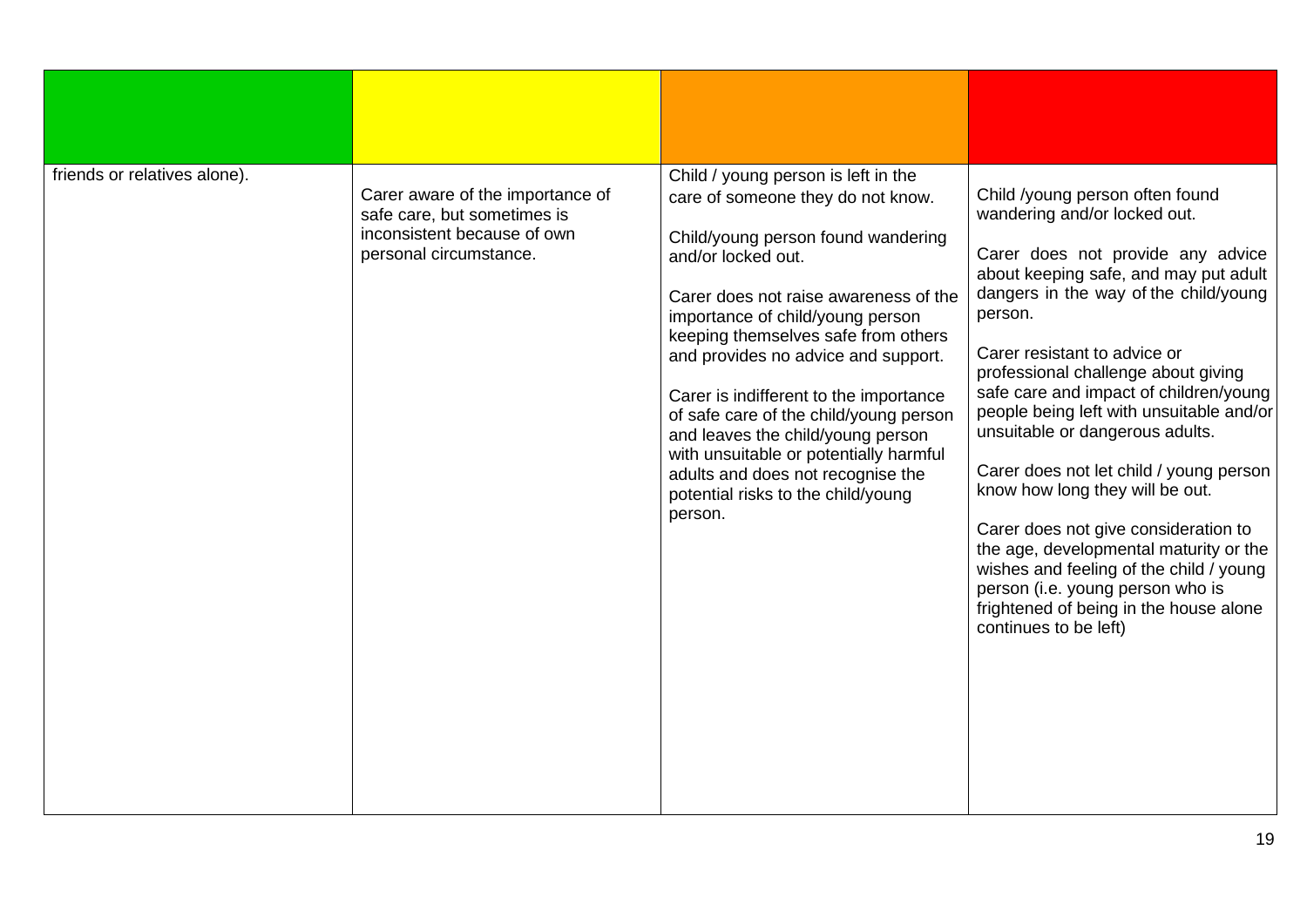| friends or relatives alone). | Carer aware of the importance of<br>safe care, but sometimes is<br>inconsistent because of own<br>personal circumstance. | Child / young person is left in the<br>care of someone they do not know.<br>Child/young person found wandering<br>and/or locked out.<br>Carer does not raise awareness of the<br>importance of child/young person<br>keeping themselves safe from others<br>and provides no advice and support.<br>Carer is indifferent to the importance<br>of safe care of the child/young person<br>and leaves the child/young person<br>with unsuitable or potentially harmful<br>adults and does not recognise the<br>potential risks to the child/young<br>person. | Child /young person often found<br>wandering and/or locked out.<br>Carer does not provide any advice<br>about keeping safe, and may put adult<br>dangers in the way of the child/young<br>person.<br>Carer resistant to advice or<br>professional challenge about giving<br>safe care and impact of children/young<br>people being left with unsuitable and/or<br>unsuitable or dangerous adults.<br>Carer does not let child / young person<br>know how long they will be out.<br>Carer does not give consideration to<br>the age, developmental maturity or the<br>wishes and feeling of the child / young<br>person (i.e. young person who is<br>frightened of being in the house alone<br>continues to be left) |
|------------------------------|--------------------------------------------------------------------------------------------------------------------------|----------------------------------------------------------------------------------------------------------------------------------------------------------------------------------------------------------------------------------------------------------------------------------------------------------------------------------------------------------------------------------------------------------------------------------------------------------------------------------------------------------------------------------------------------------|---------------------------------------------------------------------------------------------------------------------------------------------------------------------------------------------------------------------------------------------------------------------------------------------------------------------------------------------------------------------------------------------------------------------------------------------------------------------------------------------------------------------------------------------------------------------------------------------------------------------------------------------------------------------------------------------------------------------|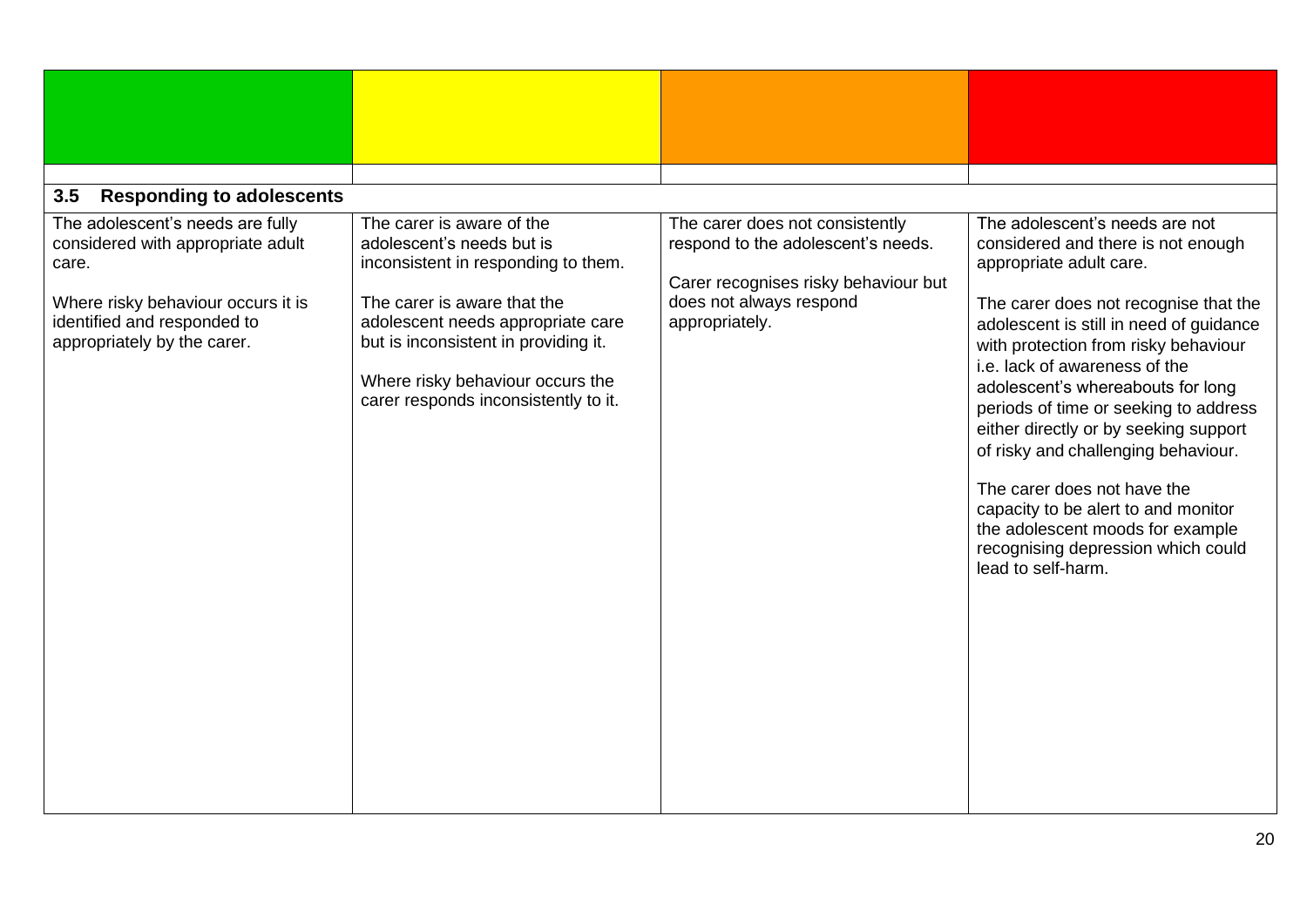<span id="page-19-0"></span>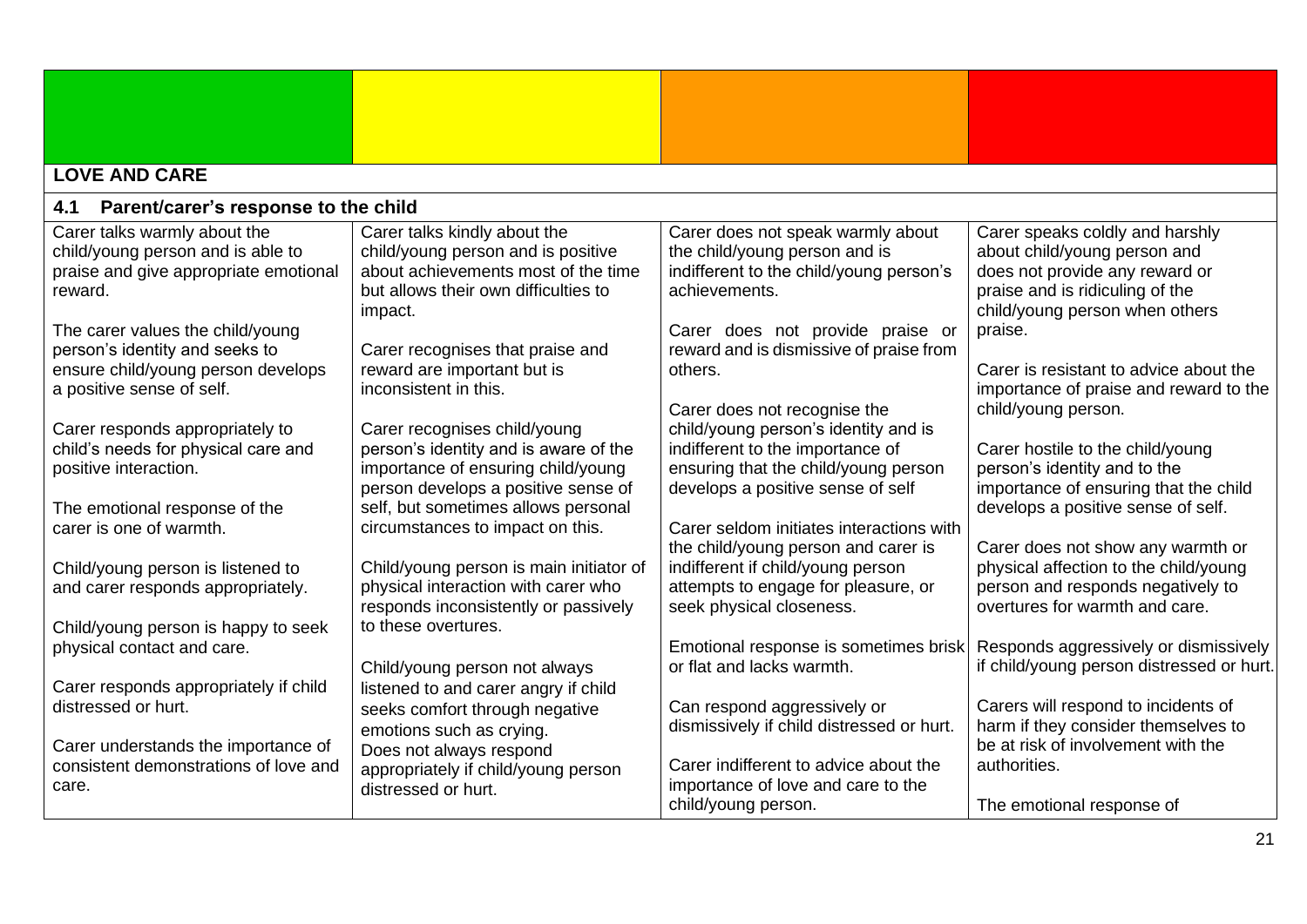<span id="page-20-1"></span><span id="page-20-0"></span>

| <b>LOVE AND CARE</b>                                                                                                                  |                                                                                                                                                                                           |                                                                                                                                                                                       |                                                                                                                                                                        |
|---------------------------------------------------------------------------------------------------------------------------------------|-------------------------------------------------------------------------------------------------------------------------------------------------------------------------------------------|---------------------------------------------------------------------------------------------------------------------------------------------------------------------------------------|------------------------------------------------------------------------------------------------------------------------------------------------------------------------|
| Parent/carer's response to the child<br>4.1                                                                                           |                                                                                                                                                                                           |                                                                                                                                                                                       |                                                                                                                                                                        |
| Carer talks warmly about the<br>child/young person and is able to<br>praise and give appropriate emotional<br>reward.                 | Carer talks kindly about the<br>child/young person and is positive<br>about achievements most of the time<br>but allows their own difficulties to                                         | Carer does not speak warmly about<br>the child/young person and is<br>indifferent to the child/young person's<br>achievements.                                                        | Carer speaks coldly and harshly<br>about child/young person and<br>does not provide any reward or<br>praise and is ridiculing of the<br>child/young person when others |
| The carer values the child/young<br>person's identity and seeks to<br>ensure child/young person develops<br>a positive sense of self. | impact.<br>Carer recognises that praise and<br>reward are important but is<br>inconsistent in this.                                                                                       | Carer does not provide praise or<br>reward and is dismissive of praise from<br>others.                                                                                                | praise.<br>Carer is resistant to advice about the<br>importance of praise and reward to the<br>child/young person.                                                     |
| Carer responds appropriately to<br>child's needs for physical care and<br>positive interaction.<br>The emotional response of the      | Carer recognises child/young<br>person's identity and is aware of the<br>importance of ensuring child/young<br>person develops a positive sense of<br>self, but sometimes allows personal | Carer does not recognise the<br>child/young person's identity and is<br>indifferent to the importance of<br>ensuring that the child/young person<br>develops a positive sense of self | Carer hostile to the child/young<br>person's identity and to the<br>importance of ensuring that the child<br>develops a positive sense of self.                        |
| carer is one of warmth.<br>Child/young person is listened to<br>and carer responds appropriately.                                     | circumstances to impact on this.<br>Child/young person is main initiator of<br>physical interaction with carer who                                                                        | Carer seldom initiates interactions with<br>the child/young person and carer is<br>indifferent if child/young person<br>attempts to engage for pleasure, or                           | Carer does not show any warmth or<br>physical affection to the child/young<br>person and responds negatively to<br>overtures for warmth and care.                      |
| Child/young person is happy to seek<br>physical contact and care.<br>Carer responds appropriately if child                            | responds inconsistently or passively<br>to these overtures.<br>Child/young person not always<br>listened to and carer angry if child                                                      | seek physical closeness.<br>Emotional response is sometimes brisk<br>or flat and lacks warmth.                                                                                        | Responds aggressively or dismissively<br>if child/young person distressed or hurt.                                                                                     |
| distressed or hurt.<br>Carer understands the importance of<br>consistent demonstrations of love and<br>care.                          | seeks comfort through negative<br>emotions such as crying.<br>Does not always respond<br>appropriately if child/young person<br>distressed or hurt.                                       | Can respond aggressively or<br>dismissively if child distressed or hurt.<br>Carer indifferent to advice about the<br>importance of love and care to the                               | Carers will respond to incidents of<br>harm if they consider themselves to<br>be at risk of involvement with the<br>authorities.                                       |
|                                                                                                                                       |                                                                                                                                                                                           | child/young person.                                                                                                                                                                   | The emotional response of                                                                                                                                              |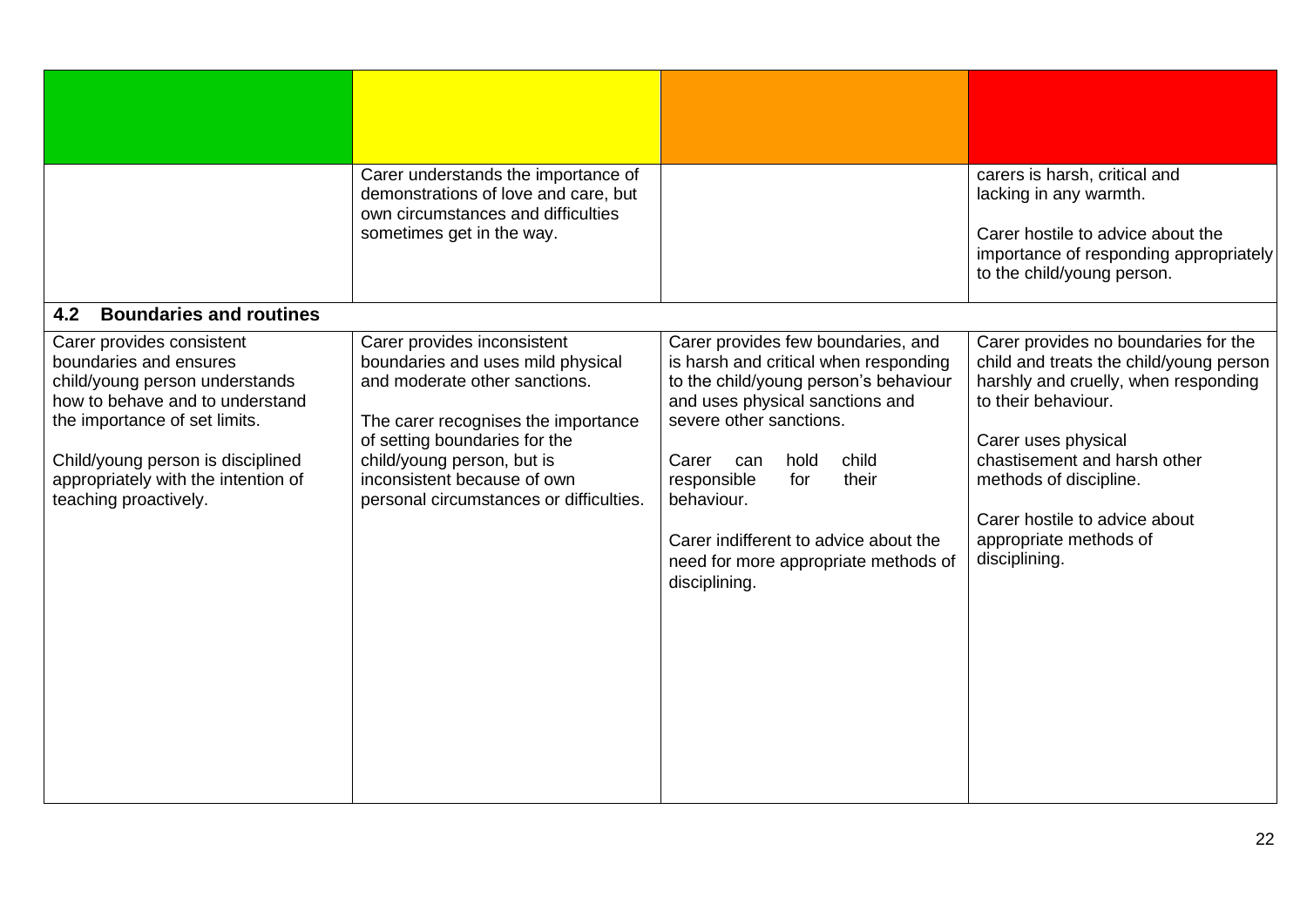<span id="page-21-0"></span>

| Carer understands the importance of<br>demonstrations of love and care, but<br>own circumstances and difficulties                                                                                                                                                                 |                                                                                                                                                                                                                                                                                                                                                                 | carers is harsh, critical and<br>lacking in any warmth.                                                                                                                                                                                                                                                     |
|-----------------------------------------------------------------------------------------------------------------------------------------------------------------------------------------------------------------------------------------------------------------------------------|-----------------------------------------------------------------------------------------------------------------------------------------------------------------------------------------------------------------------------------------------------------------------------------------------------------------------------------------------------------------|-------------------------------------------------------------------------------------------------------------------------------------------------------------------------------------------------------------------------------------------------------------------------------------------------------------|
| sometimes get in the way.                                                                                                                                                                                                                                                         |                                                                                                                                                                                                                                                                                                                                                                 | Carer hostile to advice about the<br>importance of responding appropriately<br>to the child/young person.                                                                                                                                                                                                   |
|                                                                                                                                                                                                                                                                                   |                                                                                                                                                                                                                                                                                                                                                                 |                                                                                                                                                                                                                                                                                                             |
| Carer provides inconsistent<br>boundaries and uses mild physical<br>and moderate other sanctions.<br>The carer recognises the importance<br>of setting boundaries for the<br>child/young person, but is<br>inconsistent because of own<br>personal circumstances or difficulties. | Carer provides few boundaries, and<br>is harsh and critical when responding<br>to the child/young person's behaviour<br>and uses physical sanctions and<br>severe other sanctions.<br>child<br>hold<br>Carer can<br>responsible<br>for<br>their<br>behaviour.<br>Carer indifferent to advice about the<br>need for more appropriate methods of<br>disciplining. | Carer provides no boundaries for the<br>child and treats the child/young person<br>harshly and cruelly, when responding<br>to their behaviour.<br>Carer uses physical<br>chastisement and harsh other<br>methods of discipline.<br>Carer hostile to advice about<br>appropriate methods of<br>disciplining. |
|                                                                                                                                                                                                                                                                                   |                                                                                                                                                                                                                                                                                                                                                                 |                                                                                                                                                                                                                                                                                                             |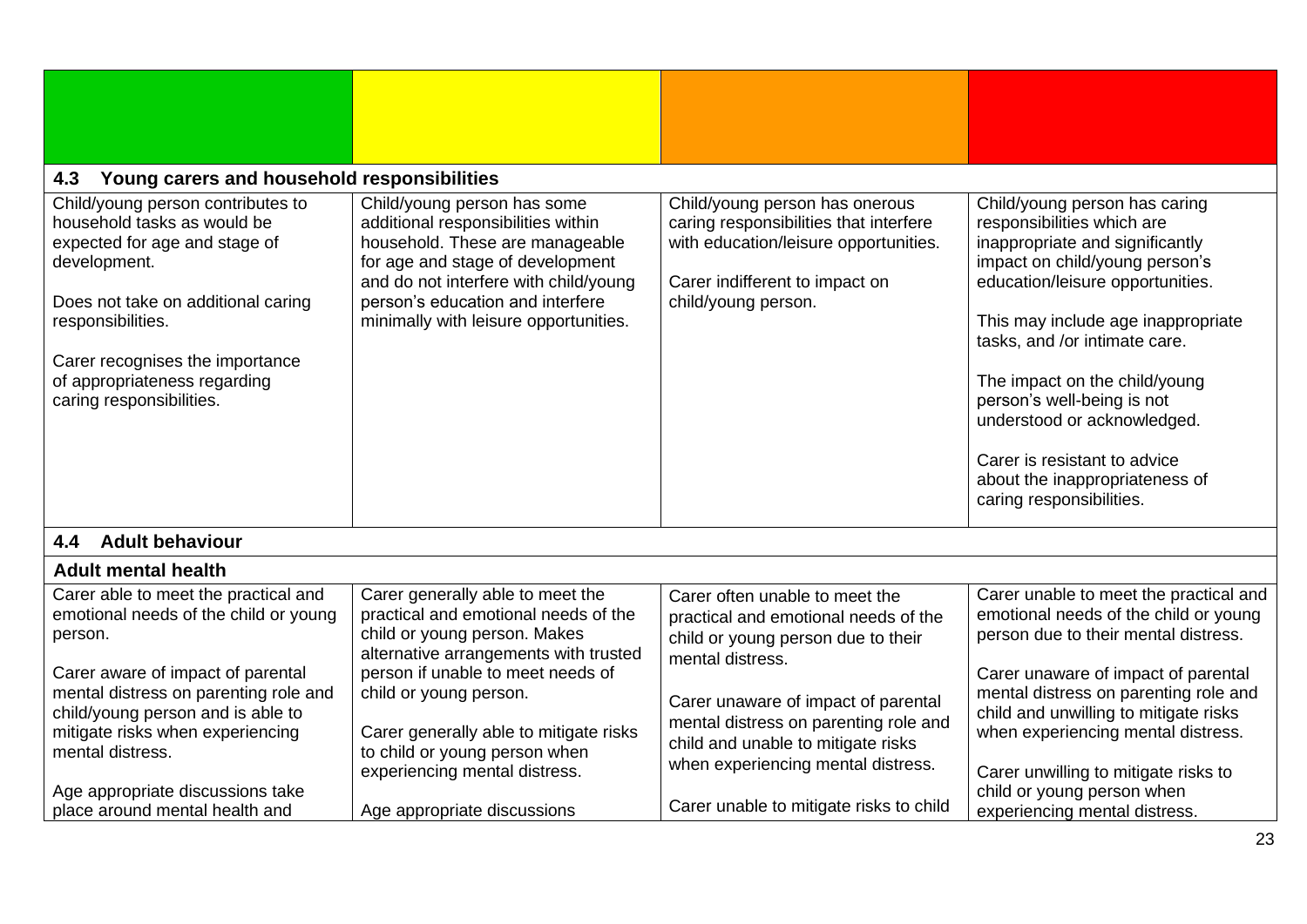<span id="page-22-2"></span><span id="page-22-1"></span><span id="page-22-0"></span>

| Young carers and household responsibilities<br>4.3                                                                                                                                                                                                                          |                                                                                                                                                                                                                                                                |                                                                                                                                                                            |                                                                                                                                                                                                                                                                                                                                                                                                                                         |
|-----------------------------------------------------------------------------------------------------------------------------------------------------------------------------------------------------------------------------------------------------------------------------|----------------------------------------------------------------------------------------------------------------------------------------------------------------------------------------------------------------------------------------------------------------|----------------------------------------------------------------------------------------------------------------------------------------------------------------------------|-----------------------------------------------------------------------------------------------------------------------------------------------------------------------------------------------------------------------------------------------------------------------------------------------------------------------------------------------------------------------------------------------------------------------------------------|
| Child/young person contributes to<br>household tasks as would be<br>expected for age and stage of<br>development.<br>Does not take on additional caring<br>responsibilities.<br>Carer recognises the importance<br>of appropriateness regarding<br>caring responsibilities. | Child/young person has some<br>additional responsibilities within<br>household. These are manageable<br>for age and stage of development<br>and do not interfere with child/young<br>person's education and interfere<br>minimally with leisure opportunities. | Child/young person has onerous<br>caring responsibilities that interfere<br>with education/leisure opportunities.<br>Carer indifferent to impact on<br>child/young person. | Child/young person has caring<br>responsibilities which are<br>inappropriate and significantly<br>impact on child/young person's<br>education/leisure opportunities.<br>This may include age inappropriate<br>tasks, and /or intimate care.<br>The impact on the child/young<br>person's well-being is not<br>understood or acknowledged.<br>Carer is resistant to advice<br>about the inappropriateness of<br>caring responsibilities. |
| <b>Adult behaviour</b><br>4.4                                                                                                                                                                                                                                               |                                                                                                                                                                                                                                                                |                                                                                                                                                                            |                                                                                                                                                                                                                                                                                                                                                                                                                                         |
| <b>Adult mental health</b>                                                                                                                                                                                                                                                  |                                                                                                                                                                                                                                                                |                                                                                                                                                                            |                                                                                                                                                                                                                                                                                                                                                                                                                                         |
| Carer able to meet the practical and<br>emotional needs of the child or young<br>person.<br>Carer aware of impact of parental                                                                                                                                               | Carer generally able to meet the<br>practical and emotional needs of the<br>child or young person. Makes<br>alternative arrangements with trusted<br>person if unable to meet needs of                                                                         | Carer often unable to meet the<br>practical and emotional needs of the<br>child or young person due to their<br>mental distress.                                           | Carer unable to meet the practical and<br>emotional needs of the child or young<br>person due to their mental distress.<br>Carer unaware of impact of parental                                                                                                                                                                                                                                                                          |
| mental distress on parenting role and<br>child/young person and is able to<br>mitigate risks when experiencing<br>mental distress.                                                                                                                                          | child or young person.<br>Carer generally able to mitigate risks<br>to child or young person when<br>experiencing mental distress.                                                                                                                             | Carer unaware of impact of parental<br>mental distress on parenting role and<br>child and unable to mitigate risks<br>when experiencing mental distress.                   | mental distress on parenting role and<br>child and unwilling to mitigate risks<br>when experiencing mental distress.<br>Carer unwilling to mitigate risks to                                                                                                                                                                                                                                                                            |
| Age appropriate discussions take<br>place around mental health and                                                                                                                                                                                                          | Age appropriate discussions                                                                                                                                                                                                                                    | Carer unable to mitigate risks to child                                                                                                                                    | child or young person when<br>experiencing mental distress.                                                                                                                                                                                                                                                                                                                                                                             |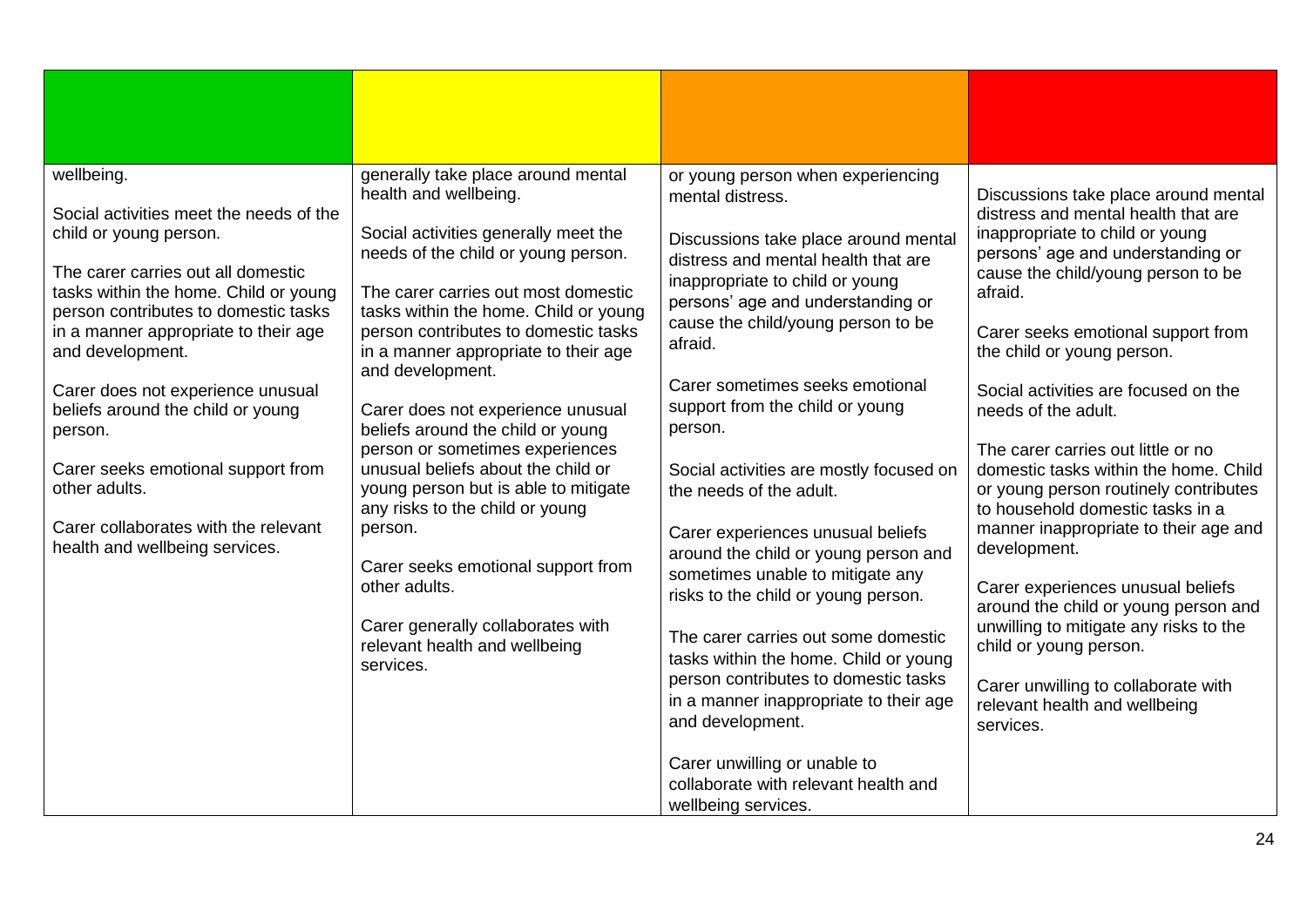| wellbeing.<br>Social activities meet the needs of the<br>child or young person.<br>The carer carries out all domestic<br>tasks within the home. Child or young<br>person contributes to domestic tasks<br>in a manner appropriate to their age<br>and development.<br>Carer does not experience unusual<br>beliefs around the child or young<br>person.<br>Carer seeks emotional support from<br>other adults.<br>Carer collaborates with the relevant<br>health and wellbeing services. | generally take place around mental<br>health and wellbeing.<br>Social activities generally meet the<br>needs of the child or young person.<br>The carer carries out most domestic<br>tasks within the home. Child or young<br>person contributes to domestic tasks<br>in a manner appropriate to their age<br>and development.<br>Carer does not experience unusual<br>beliefs around the child or young<br>person or sometimes experiences<br>unusual beliefs about the child or<br>young person but is able to mitigate<br>any risks to the child or young<br>person.<br>Carer seeks emotional support from<br>other adults.<br>Carer generally collaborates with<br>relevant health and wellbeing<br>services. | or young person when experiencing<br>mental distress.<br>Discussions take place around mental<br>distress and mental health that are<br>inappropriate to child or young<br>persons' age and understanding or<br>cause the child/young person to be<br>afraid.<br>Carer sometimes seeks emotional<br>support from the child or young<br>person.<br>Social activities are mostly focused on<br>the needs of the adult.<br>Carer experiences unusual beliefs<br>around the child or young person and<br>sometimes unable to mitigate any<br>risks to the child or young person.<br>The carer carries out some domestic<br>tasks within the home. Child or young<br>person contributes to domestic tasks<br>in a manner inappropriate to their age<br>and development.<br>Carer unwilling or unable to<br>collaborate with relevant health and<br>wellbeing services. | Discussions take place around mental<br>distress and mental health that are<br>inappropriate to child or young<br>persons' age and understanding or<br>cause the child/young person to be<br>afraid.<br>Carer seeks emotional support from<br>the child or young person.<br>Social activities are focused on the<br>needs of the adult.<br>The carer carries out little or no<br>domestic tasks within the home. Child<br>or young person routinely contributes<br>to household domestic tasks in a<br>manner inappropriate to their age and<br>development.<br>Carer experiences unusual beliefs<br>around the child or young person and<br>unwilling to mitigate any risks to the<br>child or young person.<br>Carer unwilling to collaborate with<br>relevant health and wellbeing<br>services. |
|------------------------------------------------------------------------------------------------------------------------------------------------------------------------------------------------------------------------------------------------------------------------------------------------------------------------------------------------------------------------------------------------------------------------------------------------------------------------------------------|-------------------------------------------------------------------------------------------------------------------------------------------------------------------------------------------------------------------------------------------------------------------------------------------------------------------------------------------------------------------------------------------------------------------------------------------------------------------------------------------------------------------------------------------------------------------------------------------------------------------------------------------------------------------------------------------------------------------|-------------------------------------------------------------------------------------------------------------------------------------------------------------------------------------------------------------------------------------------------------------------------------------------------------------------------------------------------------------------------------------------------------------------------------------------------------------------------------------------------------------------------------------------------------------------------------------------------------------------------------------------------------------------------------------------------------------------------------------------------------------------------------------------------------------------------------------------------------------------|----------------------------------------------------------------------------------------------------------------------------------------------------------------------------------------------------------------------------------------------------------------------------------------------------------------------------------------------------------------------------------------------------------------------------------------------------------------------------------------------------------------------------------------------------------------------------------------------------------------------------------------------------------------------------------------------------------------------------------------------------------------------------------------------------|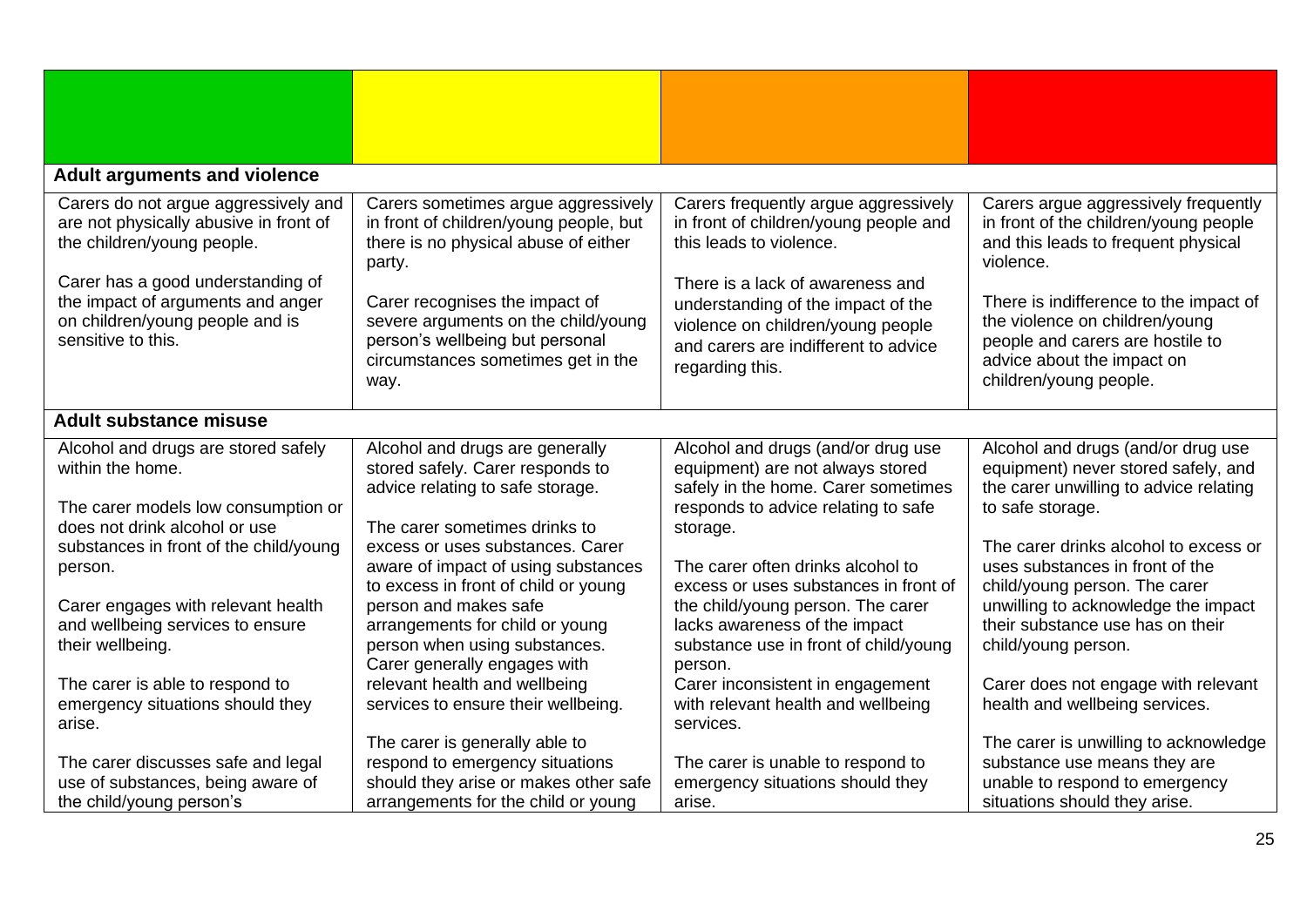<span id="page-24-1"></span><span id="page-24-0"></span>

| <b>Adult arguments and violence</b>                                                                                                                                                                                                             |                                                                                                                                                                                                                                                                                           |                                                                                                                                                                                                                                                                                    |                                                                                                                                                                                                                                                                                                           |
|-------------------------------------------------------------------------------------------------------------------------------------------------------------------------------------------------------------------------------------------------|-------------------------------------------------------------------------------------------------------------------------------------------------------------------------------------------------------------------------------------------------------------------------------------------|------------------------------------------------------------------------------------------------------------------------------------------------------------------------------------------------------------------------------------------------------------------------------------|-----------------------------------------------------------------------------------------------------------------------------------------------------------------------------------------------------------------------------------------------------------------------------------------------------------|
| Carers do not argue aggressively and<br>are not physically abusive in front of<br>the children/young people.<br>Carer has a good understanding of<br>the impact of arguments and anger<br>on children/young people and is<br>sensitive to this. | Carers sometimes argue aggressively<br>in front of children/young people, but<br>there is no physical abuse of either<br>party.<br>Carer recognises the impact of<br>severe arguments on the child/young<br>person's wellbeing but personal<br>circumstances sometimes get in the<br>way. | Carers frequently argue aggressively<br>in front of children/young people and<br>this leads to violence.<br>There is a lack of awareness and<br>understanding of the impact of the<br>violence on children/young people<br>and carers are indifferent to advice<br>regarding this. | Carers argue aggressively frequently<br>in front of the children/young people<br>and this leads to frequent physical<br>violence.<br>There is indifference to the impact of<br>the violence on children/young<br>people and carers are hostile to<br>advice about the impact on<br>children/young people. |
|                                                                                                                                                                                                                                                 |                                                                                                                                                                                                                                                                                           |                                                                                                                                                                                                                                                                                    |                                                                                                                                                                                                                                                                                                           |
| <b>Adult substance misuse</b>                                                                                                                                                                                                                   |                                                                                                                                                                                                                                                                                           |                                                                                                                                                                                                                                                                                    |                                                                                                                                                                                                                                                                                                           |
| Alcohol and drugs are stored safely<br>within the home.<br>The carer models low consumption or<br>does not drink alcohol or use                                                                                                                 | Alcohol and drugs are generally<br>stored safely. Carer responds to<br>advice relating to safe storage.<br>The carer sometimes drinks to                                                                                                                                                  | Alcohol and drugs (and/or drug use<br>equipment) are not always stored<br>safely in the home. Carer sometimes<br>responds to advice relating to safe<br>storage.                                                                                                                   | Alcohol and drugs (and/or drug use<br>equipment) never stored safely, and<br>the carer unwilling to advice relating<br>to safe storage.                                                                                                                                                                   |
| substances in front of the child/young<br>person.                                                                                                                                                                                               | excess or uses substances. Carer<br>aware of impact of using substances<br>to excess in front of child or young                                                                                                                                                                           | The carer often drinks alcohol to<br>excess or uses substances in front of                                                                                                                                                                                                         | The carer drinks alcohol to excess or<br>uses substances in front of the<br>child/young person. The carer                                                                                                                                                                                                 |
| Carer engages with relevant health<br>and wellbeing services to ensure<br>their wellbeing.                                                                                                                                                      | person and makes safe<br>arrangements for child or young<br>person when using substances.<br>Carer generally engages with                                                                                                                                                                 | the child/young person. The carer<br>lacks awareness of the impact<br>substance use in front of child/young<br>person.                                                                                                                                                             | unwilling to acknowledge the impact<br>their substance use has on their<br>child/young person.                                                                                                                                                                                                            |
| The carer is able to respond to<br>emergency situations should they<br>arise.                                                                                                                                                                   | relevant health and wellbeing<br>services to ensure their wellbeing.                                                                                                                                                                                                                      | Carer inconsistent in engagement<br>with relevant health and wellbeing<br>services.                                                                                                                                                                                                | Carer does not engage with relevant<br>health and wellbeing services.                                                                                                                                                                                                                                     |
| The carer discusses safe and legal<br>use of substances, being aware of<br>the child/young person's                                                                                                                                             | The carer is generally able to<br>respond to emergency situations<br>should they arise or makes other safe<br>arrangements for the child or young                                                                                                                                         | The carer is unable to respond to<br>emergency situations should they<br>arise.                                                                                                                                                                                                    | The carer is unwilling to acknowledge<br>substance use means they are<br>unable to respond to emergency<br>situations should they arise.                                                                                                                                                                  |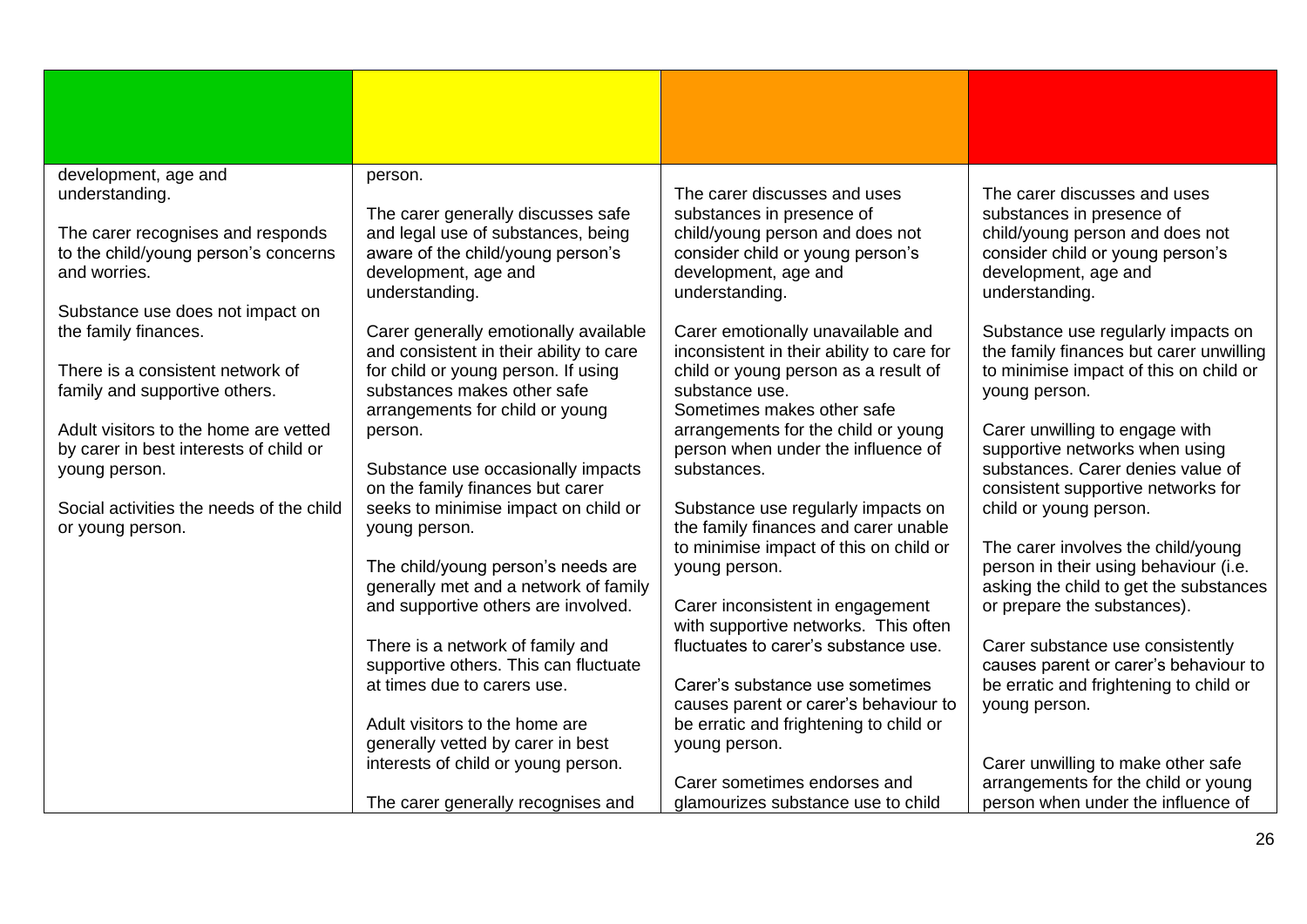| development, age and                                                                      | person.                                                                                                           |                                                                                                               |                                                                                                               |
|-------------------------------------------------------------------------------------------|-------------------------------------------------------------------------------------------------------------------|---------------------------------------------------------------------------------------------------------------|---------------------------------------------------------------------------------------------------------------|
| understanding.                                                                            | The carer generally discusses safe                                                                                | The carer discusses and uses<br>substances in presence of                                                     | The carer discusses and uses<br>substances in presence of                                                     |
| The carer recognises and responds<br>to the child/young person's concerns<br>and worries. | and legal use of substances, being<br>aware of the child/young person's<br>development, age and<br>understanding. | child/young person and does not<br>consider child or young person's<br>development, age and<br>understanding. | child/young person and does not<br>consider child or young person's<br>development, age and<br>understanding. |
| Substance use does not impact on<br>the family finances.                                  | Carer generally emotionally available                                                                             | Carer emotionally unavailable and                                                                             | Substance use regularly impacts on                                                                            |
| There is a consistent network of                                                          | and consistent in their ability to care<br>for child or young person. If using                                    | inconsistent in their ability to care for<br>child or young person as a result of                             | the family finances but carer unwilling<br>to minimise impact of this on child or                             |
| family and supportive others.                                                             | substances makes other safe<br>arrangements for child or young                                                    | substance use.<br>Sometimes makes other safe                                                                  | young person.                                                                                                 |
| Adult visitors to the home are vetted<br>by carer in best interests of child or           | person.                                                                                                           | arrangements for the child or young<br>person when under the influence of                                     | Carer unwilling to engage with<br>supportive networks when using                                              |
| young person.                                                                             | Substance use occasionally impacts<br>on the family finances but carer                                            | substances.                                                                                                   | substances. Carer denies value of<br>consistent supportive networks for                                       |
| Social activities the needs of the child<br>or young person.                              | seeks to minimise impact on child or<br>young person.                                                             | Substance use regularly impacts on<br>the family finances and carer unable                                    | child or young person.                                                                                        |
|                                                                                           | The child/young person's needs are                                                                                | to minimise impact of this on child or<br>young person.                                                       | The carer involves the child/young<br>person in their using behaviour (i.e.                                   |
|                                                                                           | generally met and a network of family<br>and supportive others are involved.                                      | Carer inconsistent in engagement                                                                              | asking the child to get the substances<br>or prepare the substances).                                         |
|                                                                                           |                                                                                                                   | with supportive networks. This often                                                                          |                                                                                                               |
|                                                                                           | There is a network of family and<br>supportive others. This can fluctuate                                         | fluctuates to carer's substance use.                                                                          | Carer substance use consistently<br>causes parent or carer's behaviour to                                     |
|                                                                                           | at times due to carers use.                                                                                       | Carer's substance use sometimes<br>causes parent or carer's behaviour to                                      | be erratic and frightening to child or<br>young person.                                                       |
|                                                                                           | Adult visitors to the home are<br>generally vetted by carer in best                                               | be erratic and frightening to child or<br>young person.                                                       |                                                                                                               |
|                                                                                           | interests of child or young person.                                                                               |                                                                                                               | Carer unwilling to make other safe                                                                            |
|                                                                                           | The carer generally recognises and                                                                                | Carer sometimes endorses and<br>glamourizes substance use to child                                            | arrangements for the child or young<br>person when under the influence of                                     |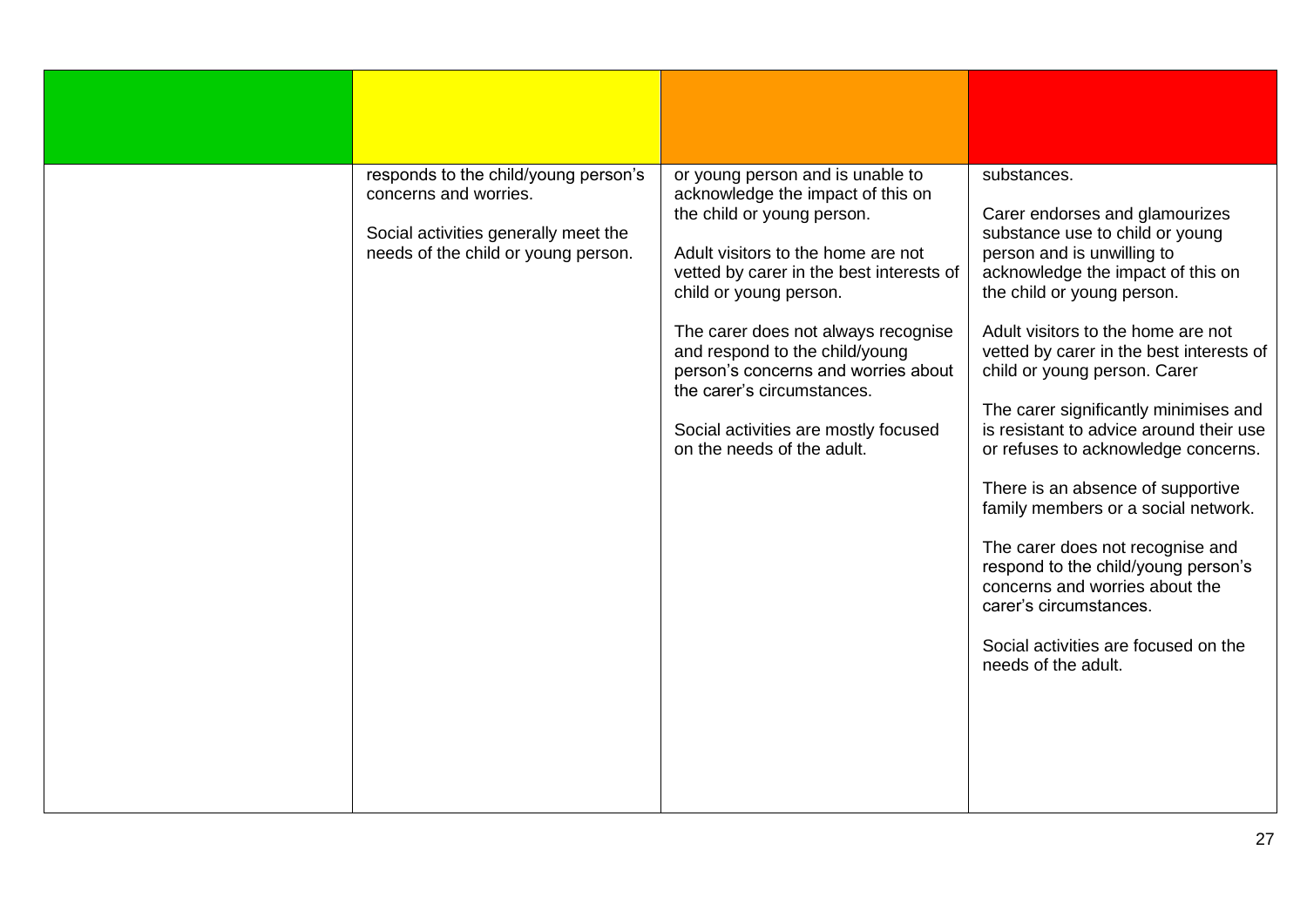| responds to the child/young person's<br>concerns and worries.<br>Social activities generally meet the<br>needs of the child or young person. | or young person and is unable to<br>acknowledge the impact of this on<br>the child or young person.<br>Adult visitors to the home are not<br>vetted by carer in the best interests of<br>child or young person.<br>The carer does not always recognise<br>and respond to the child/young<br>person's concerns and worries about<br>the carer's circumstances.<br>Social activities are mostly focused<br>on the needs of the adult. | substances.<br>Carer endorses and glamourizes<br>substance use to child or young<br>person and is unwilling to<br>acknowledge the impact of this on<br>the child or young person.<br>Adult visitors to the home are not<br>vetted by carer in the best interests of<br>child or young person. Carer<br>The carer significantly minimises and<br>is resistant to advice around their use<br>or refuses to acknowledge concerns.<br>There is an absence of supportive<br>family members or a social network.<br>The carer does not recognise and<br>respond to the child/young person's<br>concerns and worries about the<br>carer's circumstances.<br>Social activities are focused on the<br>needs of the adult. |
|----------------------------------------------------------------------------------------------------------------------------------------------|-------------------------------------------------------------------------------------------------------------------------------------------------------------------------------------------------------------------------------------------------------------------------------------------------------------------------------------------------------------------------------------------------------------------------------------|------------------------------------------------------------------------------------------------------------------------------------------------------------------------------------------------------------------------------------------------------------------------------------------------------------------------------------------------------------------------------------------------------------------------------------------------------------------------------------------------------------------------------------------------------------------------------------------------------------------------------------------------------------------------------------------------------------------|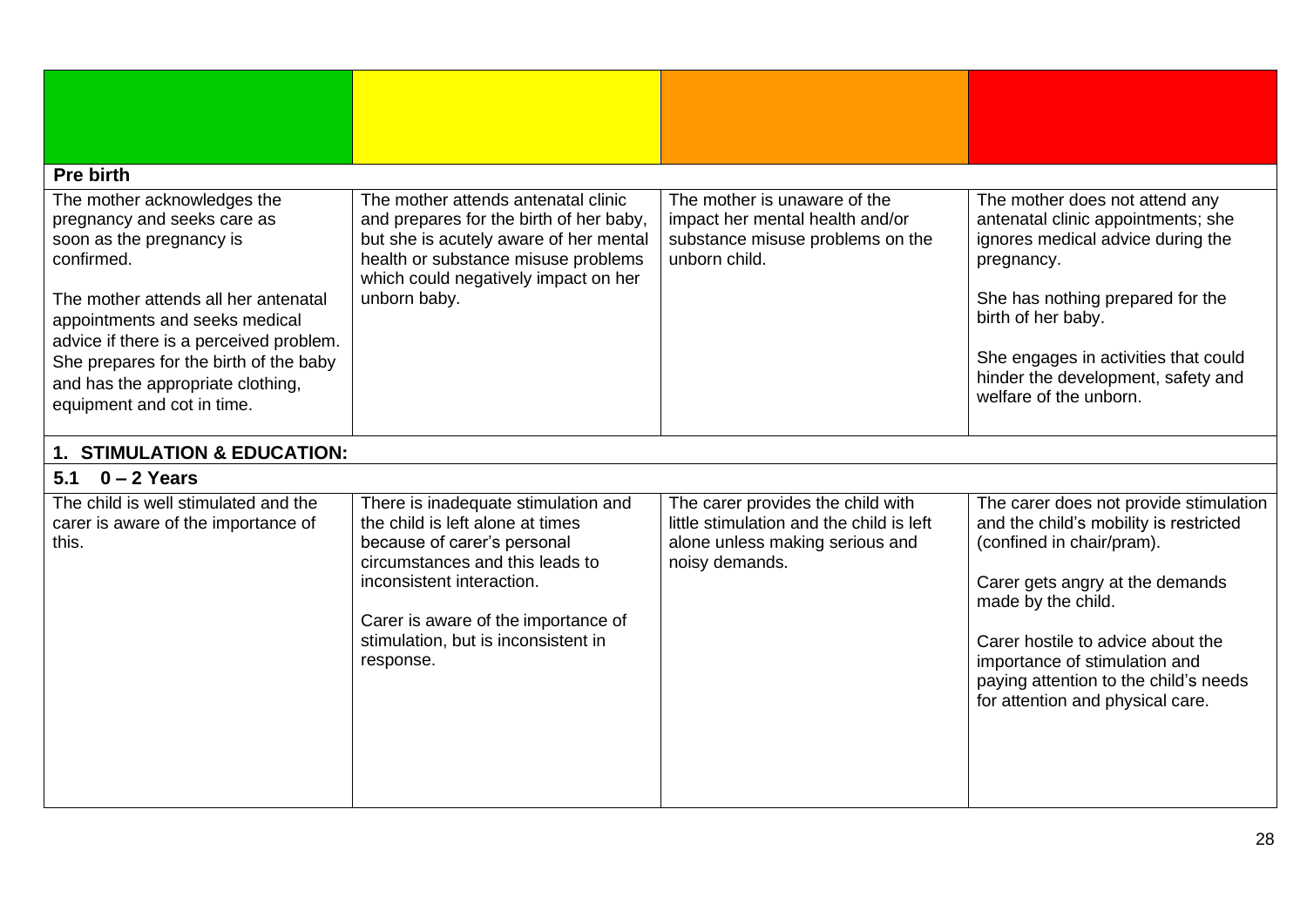<span id="page-27-2"></span><span id="page-27-1"></span><span id="page-27-0"></span>

| <b>Pre birth</b>                                                                                                                                                                                                                                                                                                                       |                                                                                                                                                                                                                                                                   |                                                                                                                                    |                                                                                                                                                                                                                                                                                                                           |
|----------------------------------------------------------------------------------------------------------------------------------------------------------------------------------------------------------------------------------------------------------------------------------------------------------------------------------------|-------------------------------------------------------------------------------------------------------------------------------------------------------------------------------------------------------------------------------------------------------------------|------------------------------------------------------------------------------------------------------------------------------------|---------------------------------------------------------------------------------------------------------------------------------------------------------------------------------------------------------------------------------------------------------------------------------------------------------------------------|
| The mother acknowledges the<br>pregnancy and seeks care as<br>soon as the pregnancy is<br>confirmed.<br>The mother attends all her antenatal<br>appointments and seeks medical<br>advice if there is a perceived problem.<br>She prepares for the birth of the baby<br>and has the appropriate clothing,<br>equipment and cot in time. | The mother attends antenatal clinic<br>and prepares for the birth of her baby,<br>but she is acutely aware of her mental<br>health or substance misuse problems<br>which could negatively impact on her<br>unborn baby.                                           | The mother is unaware of the<br>impact her mental health and/or<br>substance misuse problems on the<br>unborn child.               | The mother does not attend any<br>antenatal clinic appointments; she<br>ignores medical advice during the<br>pregnancy.<br>She has nothing prepared for the<br>birth of her baby.<br>She engages in activities that could<br>hinder the development, safety and<br>welfare of the unborn.                                 |
| 1. STIMULATION & EDUCATION:                                                                                                                                                                                                                                                                                                            |                                                                                                                                                                                                                                                                   |                                                                                                                                    |                                                                                                                                                                                                                                                                                                                           |
| $0 - 2$ Years<br>5.1                                                                                                                                                                                                                                                                                                                   |                                                                                                                                                                                                                                                                   |                                                                                                                                    |                                                                                                                                                                                                                                                                                                                           |
| The child is well stimulated and the<br>carer is aware of the importance of<br>this.                                                                                                                                                                                                                                                   | There is inadequate stimulation and<br>the child is left alone at times<br>because of carer's personal<br>circumstances and this leads to<br>inconsistent interaction.<br>Carer is aware of the importance of<br>stimulation, but is inconsistent in<br>response. | The carer provides the child with<br>little stimulation and the child is left<br>alone unless making serious and<br>noisy demands. | The carer does not provide stimulation<br>and the child's mobility is restricted<br>(confined in chair/pram).<br>Carer gets angry at the demands<br>made by the child.<br>Carer hostile to advice about the<br>importance of stimulation and<br>paying attention to the child's needs<br>for attention and physical care. |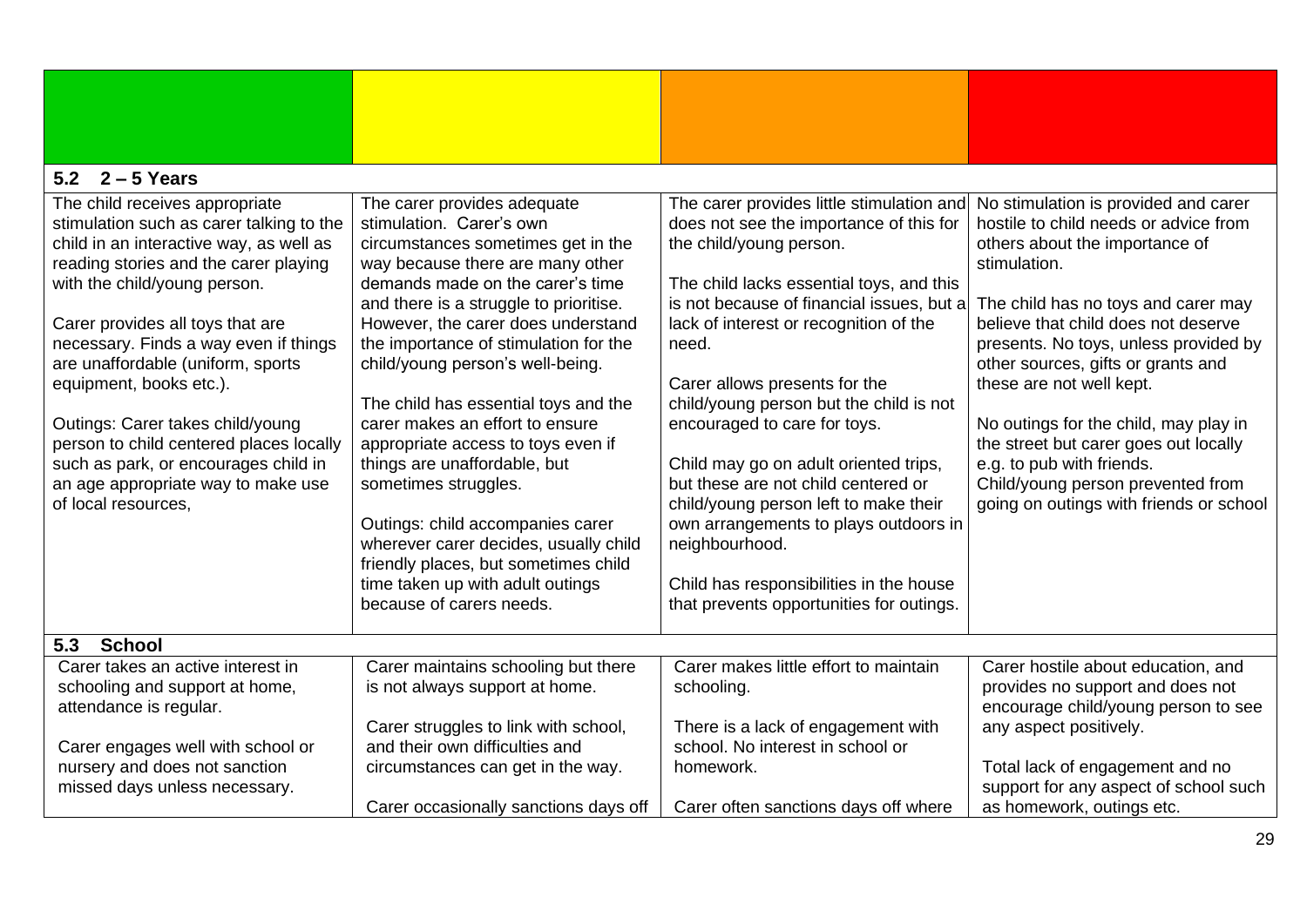<span id="page-28-1"></span><span id="page-28-0"></span>

| $2 - 5$ Years<br>5.2                                                                                                                                                                                                                                                                                                                                                                                                                                                                                                            |                                                                                                                                                                                                                                                                                                                                                                                                                                                                                                                                                                                                                                                                                                  |                                                                                                                                                                                                                                                                                                                                                                                                                                                                                                                                                                                                                                                    |                                                                                                                                                                                                                                                                                                                                                                                                                                                                                                                         |  |  |  |
|---------------------------------------------------------------------------------------------------------------------------------------------------------------------------------------------------------------------------------------------------------------------------------------------------------------------------------------------------------------------------------------------------------------------------------------------------------------------------------------------------------------------------------|--------------------------------------------------------------------------------------------------------------------------------------------------------------------------------------------------------------------------------------------------------------------------------------------------------------------------------------------------------------------------------------------------------------------------------------------------------------------------------------------------------------------------------------------------------------------------------------------------------------------------------------------------------------------------------------------------|----------------------------------------------------------------------------------------------------------------------------------------------------------------------------------------------------------------------------------------------------------------------------------------------------------------------------------------------------------------------------------------------------------------------------------------------------------------------------------------------------------------------------------------------------------------------------------------------------------------------------------------------------|-------------------------------------------------------------------------------------------------------------------------------------------------------------------------------------------------------------------------------------------------------------------------------------------------------------------------------------------------------------------------------------------------------------------------------------------------------------------------------------------------------------------------|--|--|--|
| The child receives appropriate<br>stimulation such as carer talking to the<br>child in an interactive way, as well as<br>reading stories and the carer playing<br>with the child/young person.<br>Carer provides all toys that are<br>necessary. Finds a way even if things<br>are unaffordable (uniform, sports<br>equipment, books etc.).<br>Outings: Carer takes child/young<br>person to child centered places locally<br>such as park, or encourages child in<br>an age appropriate way to make use<br>of local resources, | The carer provides adequate<br>stimulation. Carer's own<br>circumstances sometimes get in the<br>way because there are many other<br>demands made on the carer's time<br>and there is a struggle to prioritise.<br>However, the carer does understand<br>the importance of stimulation for the<br>child/young person's well-being.<br>The child has essential toys and the<br>carer makes an effort to ensure<br>appropriate access to toys even if<br>things are unaffordable, but<br>sometimes struggles.<br>Outings: child accompanies carer<br>wherever carer decides, usually child<br>friendly places, but sometimes child<br>time taken up with adult outings<br>because of carers needs. | The carer provides little stimulation and<br>does not see the importance of this for<br>the child/young person.<br>The child lacks essential toys, and this<br>is not because of financial issues, but a<br>lack of interest or recognition of the<br>need.<br>Carer allows presents for the<br>child/young person but the child is not<br>encouraged to care for toys.<br>Child may go on adult oriented trips,<br>but these are not child centered or<br>child/young person left to make their<br>own arrangements to plays outdoors in<br>neighbourhood.<br>Child has responsibilities in the house<br>that prevents opportunities for outings. | No stimulation is provided and carer<br>hostile to child needs or advice from<br>others about the importance of<br>stimulation.<br>The child has no toys and carer may<br>believe that child does not deserve<br>presents. No toys, unless provided by<br>other sources, gifts or grants and<br>these are not well kept.<br>No outings for the child, may play in<br>the street but carer goes out locally<br>e.g. to pub with friends.<br>Child/young person prevented from<br>going on outings with friends or school |  |  |  |
| <b>School</b><br>5.3                                                                                                                                                                                                                                                                                                                                                                                                                                                                                                            |                                                                                                                                                                                                                                                                                                                                                                                                                                                                                                                                                                                                                                                                                                  |                                                                                                                                                                                                                                                                                                                                                                                                                                                                                                                                                                                                                                                    |                                                                                                                                                                                                                                                                                                                                                                                                                                                                                                                         |  |  |  |
| Carer takes an active interest in<br>schooling and support at home,<br>attendance is regular.                                                                                                                                                                                                                                                                                                                                                                                                                                   | Carer maintains schooling but there<br>is not always support at home.                                                                                                                                                                                                                                                                                                                                                                                                                                                                                                                                                                                                                            | Carer makes little effort to maintain<br>schooling.                                                                                                                                                                                                                                                                                                                                                                                                                                                                                                                                                                                                | Carer hostile about education, and<br>provides no support and does not<br>encourage child/young person to see                                                                                                                                                                                                                                                                                                                                                                                                           |  |  |  |
| Carer engages well with school or                                                                                                                                                                                                                                                                                                                                                                                                                                                                                               | Carer struggles to link with school,<br>and their own difficulties and                                                                                                                                                                                                                                                                                                                                                                                                                                                                                                                                                                                                                           | There is a lack of engagement with<br>school. No interest in school or                                                                                                                                                                                                                                                                                                                                                                                                                                                                                                                                                                             | any aspect positively.                                                                                                                                                                                                                                                                                                                                                                                                                                                                                                  |  |  |  |
| nursery and does not sanction<br>missed days unless necessary.                                                                                                                                                                                                                                                                                                                                                                                                                                                                  | circumstances can get in the way.<br>Carer occasionally sanctions days off                                                                                                                                                                                                                                                                                                                                                                                                                                                                                                                                                                                                                       | homework.<br>Carer often sanctions days off where                                                                                                                                                                                                                                                                                                                                                                                                                                                                                                                                                                                                  | Total lack of engagement and no<br>support for any aspect of school such<br>as homework, outings etc.                                                                                                                                                                                                                                                                                                                                                                                                                   |  |  |  |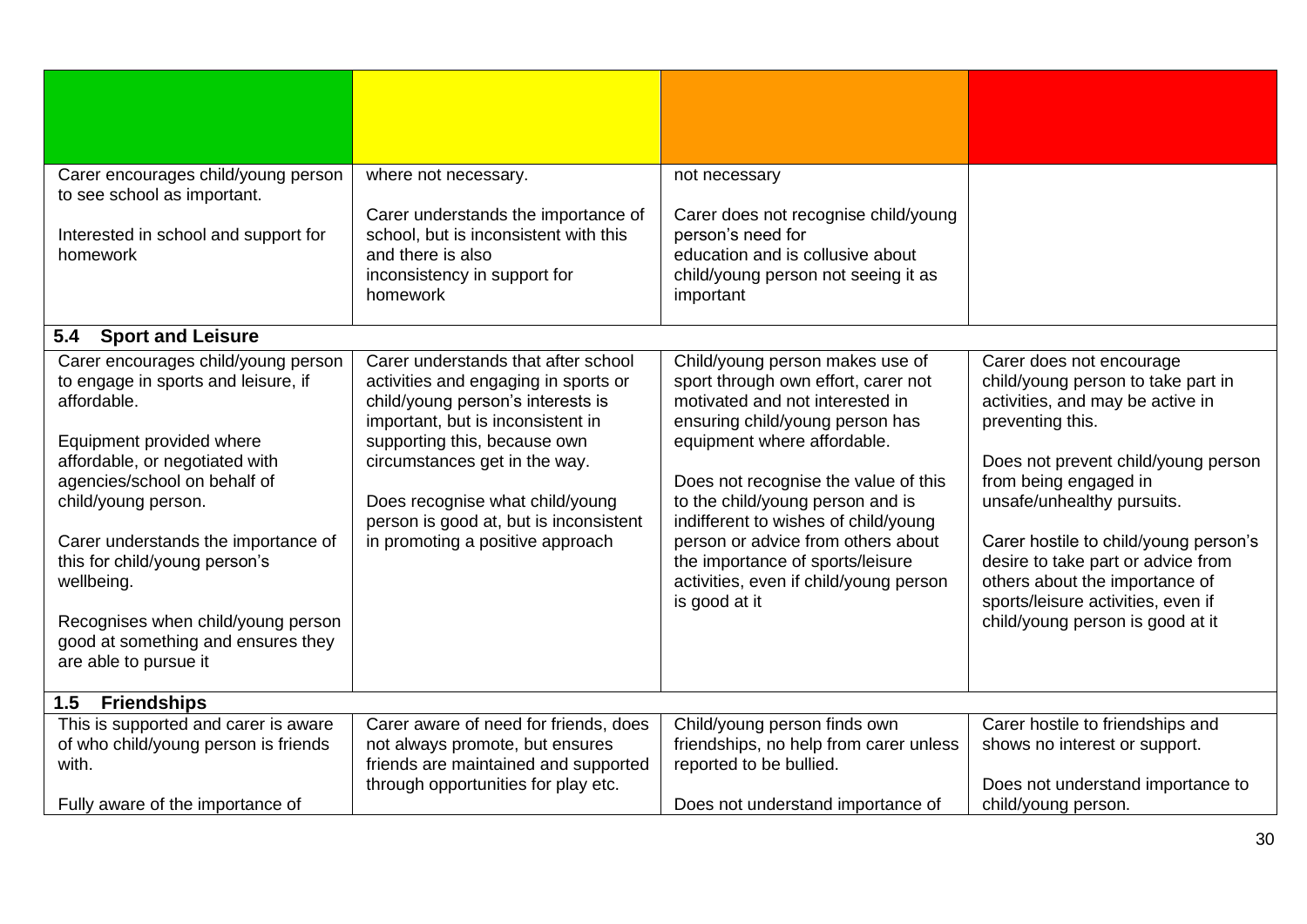<span id="page-29-1"></span><span id="page-29-0"></span>

| Carer encourages child/young person                         | where not necessary.                                       | not necessary                                         |                                       |
|-------------------------------------------------------------|------------------------------------------------------------|-------------------------------------------------------|---------------------------------------|
| to see school as important.                                 |                                                            |                                                       |                                       |
|                                                             | Carer understands the importance of                        | Carer does not recognise child/young                  |                                       |
| Interested in school and support for<br>homework            | school, but is inconsistent with this<br>and there is also | person's need for<br>education and is collusive about |                                       |
|                                                             | inconsistency in support for                               | child/young person not seeing it as                   |                                       |
|                                                             | homework                                                   | important                                             |                                       |
|                                                             |                                                            |                                                       |                                       |
| 5.4<br><b>Sport and Leisure</b>                             |                                                            |                                                       |                                       |
| Carer encourages child/young person                         | Carer understands that after school                        | Child/young person makes use of                       | Carer does not encourage              |
| to engage in sports and leisure, if                         | activities and engaging in sports or                       | sport through own effort, carer not                   | child/young person to take part in    |
| affordable.                                                 | child/young person's interests is                          | motivated and not interested in                       | activities, and may be active in      |
|                                                             | important, but is inconsistent in                          | ensuring child/young person has                       | preventing this.                      |
| Equipment provided where                                    | supporting this, because own                               | equipment where affordable.                           |                                       |
| affordable, or negotiated with                              | circumstances get in the way.                              |                                                       | Does not prevent child/young person   |
| agencies/school on behalf of                                |                                                            | Does not recognise the value of this                  | from being engaged in                 |
| child/young person.                                         | Does recognise what child/young                            | to the child/young person and is                      | unsafe/unhealthy pursuits.            |
|                                                             | person is good at, but is inconsistent                     | indifferent to wishes of child/young                  |                                       |
| Carer understands the importance of                         | in promoting a positive approach                           | person or advice from others about                    | Carer hostile to child/young person's |
| this for child/young person's                               |                                                            | the importance of sports/leisure                      | desire to take part or advice from    |
| wellbeing.                                                  |                                                            | activities, even if child/young person                | others about the importance of        |
|                                                             |                                                            | is good at it                                         | sports/leisure activities, even if    |
| Recognises when child/young person                          |                                                            |                                                       | child/young person is good at it      |
| good at something and ensures they<br>are able to pursue it |                                                            |                                                       |                                       |
|                                                             |                                                            |                                                       |                                       |
| 1.5<br><b>Friendships</b>                                   |                                                            |                                                       |                                       |
| This is supported and carer is aware                        | Carer aware of need for friends, does                      | Child/young person finds own                          | Carer hostile to friendships and      |
| of who child/young person is friends                        | not always promote, but ensures                            | friendships, no help from carer unless                | shows no interest or support.         |
| with.                                                       | friends are maintained and supported                       | reported to be bullied.                               |                                       |
|                                                             | through opportunities for play etc.                        |                                                       | Does not understand importance to     |
| Fully aware of the importance of                            |                                                            | Does not understand importance of                     | child/young person.                   |